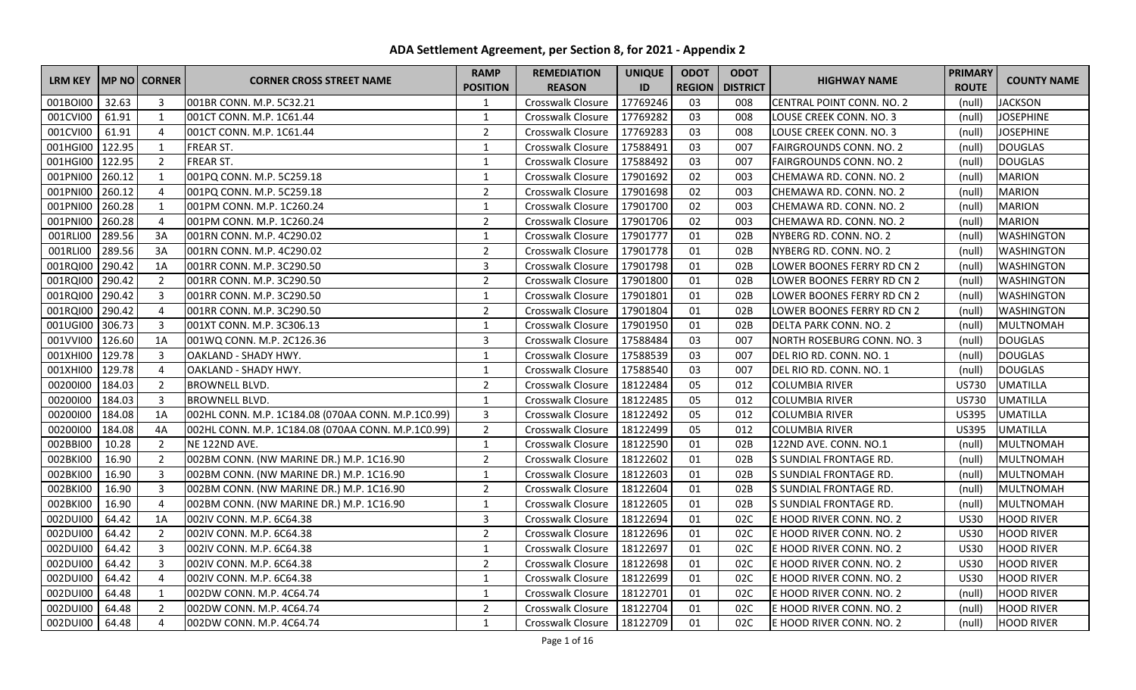| <b>LRM KEY</b>  |        | <b>IMP NOI CORNER</b> | <b>CORNER CROSS STREET NAME</b>                    | <b>RAMP</b>     | <b>REMEDIATION</b> | <b>UNIQUE</b> | <b>ODOT</b>   | <b>ODOT</b>     | <b>HIGHWAY NAME</b>            | <b>PRIMARY</b> | <b>COUNTY NAME</b> |
|-----------------|--------|-----------------------|----------------------------------------------------|-----------------|--------------------|---------------|---------------|-----------------|--------------------------------|----------------|--------------------|
|                 |        |                       |                                                    | <b>POSITION</b> | <b>REASON</b>      | ID            | <b>REGION</b> | <b>DISTRICT</b> |                                | <b>ROUTE</b>   |                    |
| 001BOI00        | 32.63  | 3                     | 001BR CONN. M.P. 5C32.21                           | $\mathbf{1}$    | Crosswalk Closure  | 17769246      | 03            | 008             | CENTRAL POINT CONN. NO. 2      | (null)         | <b>JACKSON</b>     |
| 001CVI00        | 61.91  | $\mathbf{1}$          | 001CT CONN. M.P. 1C61.44                           | $\mathbf{1}$    | Crosswalk Closure  | 17769282      | 03            | 008             | LOUSE CREEK CONN. NO. 3        | (null)         | <b>JOSEPHINE</b>   |
| 001CVI00        | 61.91  | $\overline{4}$        | 001CT CONN. M.P. 1C61.44                           | $\overline{2}$  | Crosswalk Closure  | 17769283      | 03            | 008             | LOUSE CREEK CONN. NO. 3        | (null)         | <b>JOSEPHINE</b>   |
| 001HGI00        | 122.95 | $\mathbf{1}$          | <b>FREAR ST.</b>                                   | $\mathbf{1}$    | Crosswalk Closure  | 17588491      | 03            | 007             | <b>FAIRGROUNDS CONN. NO. 2</b> | (null)         | <b>DOUGLAS</b>     |
| 001HGI00 122.95 |        | $\overline{2}$        | <b>FREAR ST.</b>                                   | 1               | Crosswalk Closure  | 17588492      | 03            | 007             | <b>FAIRGROUNDS CONN. NO. 2</b> | (null)         | <b>DOUGLAS</b>     |
| 001PNI00        | 260.12 | $\mathbf{1}$          | 001PQ CONN. M.P. 5C259.18                          | $\mathbf{1}$    | Crosswalk Closure  | 17901692      | 02            | 003             | CHEMAWA RD. CONN. NO. 2        | (null)         | <b>MARION</b>      |
| 001PNI00        | 260.12 | $\overline{4}$        | 001PQ CONN. M.P. 5C259.18                          | $2^{\circ}$     | Crosswalk Closure  | 17901698      | 02            | 003             | CHEMAWA RD. CONN. NO. 2        | (null)         | <b>MARION</b>      |
| 001PNI00 260.28 |        | $\mathbf{1}$          | 001PM CONN. M.P. 1C260.24                          | $\mathbf{1}$    | Crosswalk Closure  | 17901700      | 02            | 003             | CHEMAWA RD. CONN. NO. 2        | (null)         | <b>MARION</b>      |
| 001PNI00        | 260.28 | $\overline{4}$        | 001PM CONN. M.P. 1C260.24                          | $\overline{2}$  | Crosswalk Closure  | 17901706      | 02            | 003             | CHEMAWA RD. CONN. NO. 2        | (null)         | <b>MARION</b>      |
| 001RLI00        | 289.56 | 3A                    | 001RN CONN. M.P. 4C290.02                          | 1               | Crosswalk Closure  | 17901777      | 01            | 02B             | NYBERG RD. CONN. NO. 2         | (null)         | <b>WASHINGTON</b>  |
| 001RLI00        | 289.56 | 3A                    | 001RN CONN. M.P. 4C290.02                          | $2^{\circ}$     | Crosswalk Closure  | 17901778      | 01            | 02B             | NYBERG RD. CONN. NO. 2         | (null)         | <b>WASHINGTON</b>  |
| 001RQI00        | 290.42 | 1A                    | 001RR CONN. M.P. 3C290.50                          | 3               | Crosswalk Closure  | 17901798      | 01            | 02B             | LOWER BOONES FERRY RD CN 2     | (null)         | <b>WASHINGTON</b>  |
| 001RQI00        | 290.42 | $\overline{2}$        | 001RR CONN. M.P. 3C290.50                          | $\overline{2}$  | Crosswalk Closure  | 17901800      | 01            | 02B             | LOWER BOONES FERRY RD CN 2     | (null)         | <b>WASHINGTON</b>  |
| 001RQI00        | 290.42 | $\overline{3}$        | 001RR CONN. M.P. 3C290.50                          | $\mathbf{1}$    | Crosswalk Closure  | 17901801      | 01            | 02B             | LOWER BOONES FERRY RD CN 2     | (null)         | <b>WASHINGTON</b>  |
| 001RQI00        | 290.42 | $\overline{4}$        | 001RR CONN. M.P. 3C290.50                          | $\overline{2}$  | Crosswalk Closure  | 17901804      | 01            | 02B             | LOWER BOONES FERRY RD CN 2     | (null)         | <b>WASHINGTON</b>  |
| 001UGI00        | 306.73 | $\overline{3}$        | 001XT CONN. M.P. 3C306.13                          | $\mathbf{1}$    | Crosswalk Closure  | 17901950      | 01            | 02B             | DELTA PARK CONN. NO. 2         | (null)         | <b>MULTNOMAH</b>   |
| 001VVI00        | 126.60 | 1A                    | 001WQ CONN. M.P. 2C126.36                          | 3               | Crosswalk Closure  | 17588484      | 03            | 007             | NORTH ROSEBURG CONN. NO. 3     | (null)         | <b>DOUGLAS</b>     |
| 001XHI00        | 129.78 | $\overline{3}$        | OAKLAND - SHADY HWY.                               | $\mathbf{1}$    | Crosswalk Closure  | 17588539      | 03            | 007             | DEL RIO RD. CONN. NO. 1        | (null)         | <b>DOUGLAS</b>     |
| 001XHI00        | 129.78 | $\overline{4}$        | OAKLAND - SHADY HWY.                               | $\mathbf{1}$    | Crosswalk Closure  | 17588540      | 03            | 007             | DEL RIO RD. CONN. NO. 1        | (null)         | <b>DOUGLAS</b>     |
| 00200100        | 184.03 | $\overline{2}$        | <b>BROWNELL BLVD.</b>                              | $\overline{2}$  | Crosswalk Closure  | 18122484      | 05            | 012             | <b>COLUMBIA RIVER</b>          | <b>US730</b>   | <b>UMATILLA</b>    |
| 00200100        | 184.03 | 3                     | <b>BROWNELL BLVD.</b>                              | $\mathbf{1}$    | Crosswalk Closure  | 18122485      | 05            | 012             | <b>COLUMBIA RIVER</b>          | US730          | <b>UMATILLA</b>    |
| 00200100        | 184.08 | 1A                    | 002HL CONN. M.P. 1C184.08 (070AA CONN. M.P.1C0.99) | 3               | Crosswalk Closure  | 18122492      | 05            | 012             | <b>COLUMBIA RIVER</b>          | <b>US395</b>   | <b>UMATILLA</b>    |
| 00200100        | 184.08 | 4A                    | 002HL CONN. M.P. 1C184.08 (070AA CONN. M.P.1C0.99) | $\overline{2}$  | Crosswalk Closure  | 18122499      | 05            | 012             | <b>COLUMBIA RIVER</b>          | <b>US395</b>   | <b>UMATILLA</b>    |
| 002BBI00        | 10.28  | $\overline{2}$        | NE 122ND AVE.                                      | $\mathbf{1}$    | Crosswalk Closure  | 18122590      | 01            | 02B             | 122ND AVE. CONN. NO.1          | (null)         | <b>MULTNOMAH</b>   |
| 002BKI00        | 16.90  | $\overline{2}$        | 002BM CONN. (NW MARINE DR.) M.P. 1C16.90           | $\overline{2}$  | Crosswalk Closure  | 18122602      | 01            | 02B             | S SUNDIAL FRONTAGE RD.         | (null)         | <b>MULTNOMAH</b>   |
| 002BKI00        | 16.90  | $\overline{3}$        | 002BM CONN. (NW MARINE DR.) M.P. 1C16.90           | 1               | Crosswalk Closure  | 18122603      | 01            | 02B             | S SUNDIAL FRONTAGE RD.         | (null)         | <b>MULTNOMAH</b>   |
| 002BKI00        | 16.90  | $\overline{3}$        | 002BM CONN. (NW MARINE DR.) M.P. 1C16.90           | $\overline{2}$  | Crosswalk Closure  | 18122604      | 01            | 02B             | S SUNDIAL FRONTAGE RD.         | (null)         | <b>MULTNOMAH</b>   |
| 002BKI00        | 16.90  | $\overline{4}$        | 002BM CONN. (NW MARINE DR.) M.P. 1C16.90           | 1               | Crosswalk Closure  | 18122605      | 01            | 02B             | S SUNDIAL FRONTAGE RD.         | (null)         | <b>MULTNOMAH</b>   |
| 002DUI00        | 64.42  | 1A                    | 002IV CONN. M.P. 6C64.38                           | 3               | Crosswalk Closure  | 18122694      | 01            | 02C             | E HOOD RIVER CONN. NO. 2       | <b>US30</b>    | <b>HOOD RIVER</b>  |
| 002DUI00        | 64.42  | $\overline{2}$        | 002IV CONN. M.P. 6C64.38                           | $\overline{2}$  | Crosswalk Closure  | 18122696      | 01            | 02C             | E HOOD RIVER CONN. NO. 2       | <b>US30</b>    | <b>HOOD RIVER</b>  |
| 002DUI00        | 64.42  | $\overline{3}$        | 002IV CONN. M.P. 6C64.38                           | $\mathbf{1}$    | Crosswalk Closure  | 18122697      | 01            | 02C             | E HOOD RIVER CONN. NO. 2       | <b>US30</b>    | <b>HOOD RIVER</b>  |
| 002DUI00        | 64.42  | $\overline{3}$        | 002IV CONN. M.P. 6C64.38                           | $\overline{2}$  | Crosswalk Closure  | 18122698      | 01            | 02C             | E HOOD RIVER CONN. NO. 2       | <b>US30</b>    | <b>HOOD RIVER</b>  |
| 002DUI00        | 64.42  | $\overline{4}$        | 002IV CONN. M.P. 6C64.38                           | $\mathbf{1}$    | Crosswalk Closure  | 18122699      | 01            | 02C             | E HOOD RIVER CONN. NO. 2       | <b>US30</b>    | <b>HOOD RIVER</b>  |
| 002DUI00        | 64.48  | $\mathbf{1}$          | 002DW CONN. M.P. 4C64.74                           | $\mathbf{1}$    | Crosswalk Closure  | 18122701      | 01            | 02C             | E HOOD RIVER CONN. NO. 2       | (null)         | <b>HOOD RIVER</b>  |
| 002DUI00        | 64.48  | $\overline{2}$        | 002DW CONN. M.P. 4C64.74                           | $\overline{2}$  | Crosswalk Closure  | 18122704      | 01            | 02C             | E HOOD RIVER CONN. NO. 2       | (null)         | <b>HOOD RIVER</b>  |
| 002DUI00        | 64.48  | $\overline{a}$        | 002DW CONN. M.P. 4C64.74                           | 1               | Crosswalk Closure  | 18122709      | 01            | 02C             | E HOOD RIVER CONN. NO. 2       | (null)         | <b>HOOD RIVER</b>  |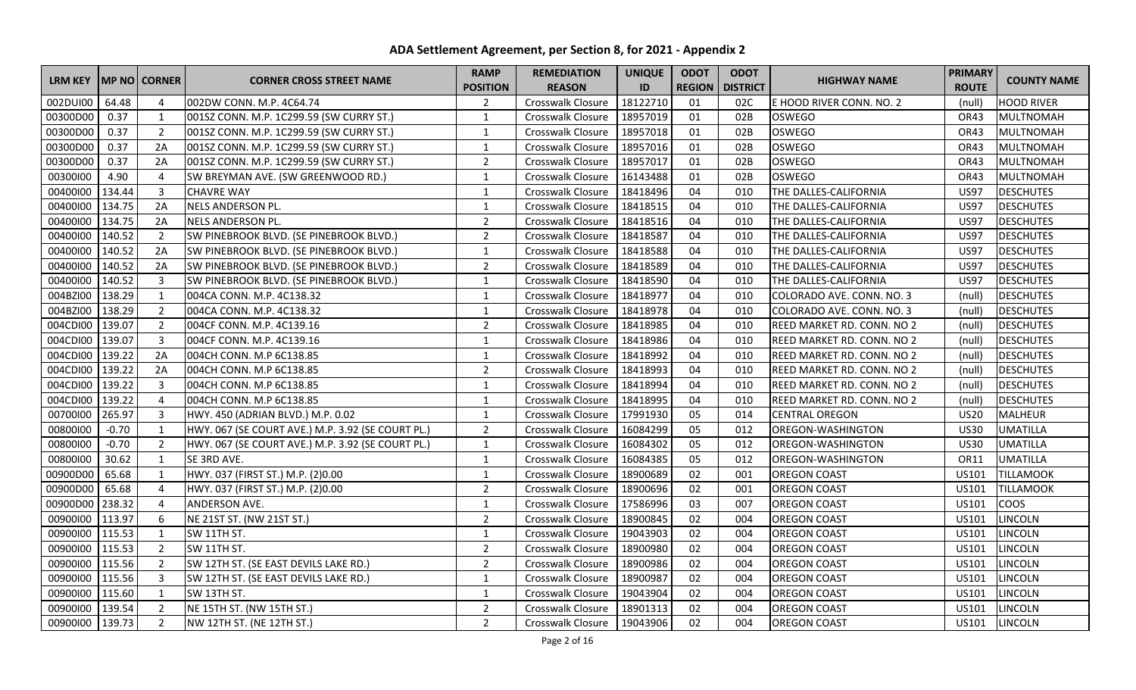| <b>LRM KEY</b> |         | <b>MP NO CORNER</b> | <b>CORNER CROSS STREET NAME</b>                   | <b>RAMP</b>     | <b>REMEDIATION</b> | <b>UNIQUE</b> | <b>ODOT</b>   | <b>ODOT</b>     | <b>HIGHWAY NAME</b>        | <b>PRIMARY</b> | <b>COUNTY NAME</b> |
|----------------|---------|---------------------|---------------------------------------------------|-----------------|--------------------|---------------|---------------|-----------------|----------------------------|----------------|--------------------|
|                |         |                     |                                                   | <b>POSITION</b> | <b>REASON</b>      | ID            | <b>REGION</b> | <b>DISTRICT</b> |                            | <b>ROUTE</b>   |                    |
| 002DUI00       | 64.48   | $\overline{4}$      | 002DW CONN. M.P. 4C64.74                          | $\mathcal{P}$   | Crosswalk Closure  | 18122710      | 01            | 02C             | E HOOD RIVER CONN. NO. 2   | (null)         | <b>HOOD RIVER</b>  |
| 00300D00       | 0.37    | $\mathbf{1}$        | 001SZ CONN. M.P. 1C299.59 (SW CURRY ST.)          | $\mathbf{1}$    | Crosswalk Closure  | 18957019      | 01            | 02B             | <b>OSWEGO</b>              | OR43           | MULTNOMAH          |
| 00300D00       | 0.37    | $\overline{2}$      | 001SZ CONN. M.P. 1C299.59 (SW CURRY ST.)          | $\mathbf{1}$    | Crosswalk Closure  | 18957018      | 01            | 02B             | <b>OSWEGO</b>              | OR43           | MULTNOMAH          |
| 00300D00       | 0.37    | 2A                  | 001SZ CONN. M.P. 1C299.59 (SW CURRY ST.)          | $\mathbf{1}$    | Crosswalk Closure  | 18957016      | 01            | 02B             | <b>OSWEGO</b>              | <b>OR43</b>    | MULTNOMAH          |
| 00300D00       | 0.37    | 2A                  | 001SZ CONN. M.P. 1C299.59 (SW CURRY ST.)          | $\overline{2}$  | Crosswalk Closure  | 18957017      | 01            | 02B             | <b>OSWEGO</b>              | <b>OR43</b>    | <b>MULTNOMAH</b>   |
| 00300100       | 4.90    | $\overline{4}$      | SW BREYMAN AVE. (SW GREENWOOD RD.)                | $\mathbf{1}$    | Crosswalk Closure  | 16143488      | 01            | 02B             | <b>OSWEGO</b>              | <b>OR43</b>    | MULTNOMAH          |
| 00400100       | 134.44  | $\mathbf{3}$        | <b>CHAVRE WAY</b>                                 | $\mathbf{1}$    | Crosswalk Closure  | 18418496      | 04            | 010             | THE DALLES-CALIFORNIA      | <b>US97</b>    | <b>DESCHUTES</b>   |
| 00400100       | 134.75  | 2A                  | <b>NELS ANDERSON PL.</b>                          | $\mathbf{1}$    | Crosswalk Closure  | 18418515      | 04            | 010             | THE DALLES-CALIFORNIA      | <b>US97</b>    | <b>DESCHUTES</b>   |
| 00400100       | 134.75  | 2A                  | NELS ANDERSON PL.                                 | $\overline{2}$  | Crosswalk Closure  | 18418516      | 04            | 010             | THE DALLES-CALIFORNIA      | <b>US97</b>    | <b>DESCHUTES</b>   |
| 00400100       | 140.52  | $\overline{2}$      | SW PINEBROOK BLVD. (SE PINEBROOK BLVD.)           | $\overline{2}$  | Crosswalk Closure  | 18418587      | 04            | 010             | THE DALLES-CALIFORNIA      | <b>US97</b>    | <b>DESCHUTES</b>   |
| 00400100       | 140.52  | 2A                  | SW PINEBROOK BLVD. (SE PINEBROOK BLVD.)           | 1               | Crosswalk Closure  | 18418588      | 04            | 010             | THE DALLES-CALIFORNIA      | <b>US97</b>    | <b>DESCHUTES</b>   |
| 00400100       | 140.52  | 2A                  | SW PINEBROOK BLVD. (SE PINEBROOK BLVD.)           | $\overline{2}$  | Crosswalk Closure  | 18418589      | 04            | 010             | THE DALLES-CALIFORNIA      | <b>US97</b>    | <b>DESCHUTES</b>   |
| 00400100       | 140.52  | $\mathbf{3}$        | SW PINEBROOK BLVD. (SE PINEBROOK BLVD.)           | $\mathbf{1}$    | Crosswalk Closure  | 18418590      | 04            | 010             | THE DALLES-CALIFORNIA      | <b>US97</b>    | <b>DESCHUTES</b>   |
| 004BZI00       | 138.29  | $\mathbf{1}$        | 004CA CONN. M.P. 4C138.32                         | $\mathbf{1}$    | Crosswalk Closure  | 18418977      | 04            | 010             | COLORADO AVE. CONN. NO. 3  | (null)         | <b>DESCHUTES</b>   |
| 004BZI00       | 138.29  | $\overline{2}$      | 004CA CONN. M.P. 4C138.32                         | $\mathbf{1}$    | Crosswalk Closure  | 18418978      | 04            | 010             | COLORADO AVE. CONN. NO. 3  | (null)         | <b>DESCHUTES</b>   |
| 004CDI00       | 139.07  | $\overline{2}$      | 004CF CONN. M.P. 4C139.16                         | $\overline{2}$  | Crosswalk Closure  | 18418985      | 04            | 010             | REED MARKET RD. CONN. NO 2 | (null)         | <b>DESCHUTES</b>   |
| 004CDI00       | 139.07  | 3                   | 004CF CONN. M.P. 4C139.16                         | $\mathbf{1}$    | Crosswalk Closure  | 18418986      | 04            | 010             | REED MARKET RD. CONN. NO 2 | (null)         | <b>DESCHUTES</b>   |
| 004CDI00       | 139.22  | 2A                  | 004CH CONN. M.P 6C138.85                          | $\mathbf{1}$    | Crosswalk Closure  | 18418992      | 04            | 010             | REED MARKET RD. CONN. NO 2 | (null)         | <b>DESCHUTES</b>   |
| 004CDI00       | 139.22  | 2A                  | 004CH CONN. M.P 6C138.85                          | $\overline{2}$  | Crosswalk Closure  | 18418993      | 04            | 010             | REED MARKET RD. CONN. NO 2 | (null)         | <b>DESCHUTES</b>   |
| 004CDI00       | 139.22  | 3                   | 004CH CONN. M.P 6C138.85                          | $\mathbf{1}$    | Crosswalk Closure  | 18418994      | 04            | 010             | REED MARKET RD. CONN. NO 2 | (null)         | <b>DESCHUTES</b>   |
| 004CDI00       | 139.22  | $\overline{4}$      | 004CH CONN. M.P 6C138.85                          | $\mathbf{1}$    | Crosswalk Closure  | 18418995      | 04            | 010             | REED MARKET RD. CONN. NO 2 | (null)         | <b>DESCHUTES</b>   |
| 00700100       | 265.97  | $\overline{3}$      | HWY. 450 (ADRIAN BLVD.) M.P. 0.02                 | $\mathbf{1}$    | Crosswalk Closure  | 17991930      | 05            | 014             | <b>CENTRAL OREGON</b>      | <b>US20</b>    | <b>MALHEUR</b>     |
| 00800100       | $-0.70$ | $\mathbf{1}$        | HWY. 067 (SE COURT AVE.) M.P. 3.92 (SE COURT PL.) | $\overline{2}$  | Crosswalk Closure  | 16084299      | 05            | 012             | OREGON-WASHINGTON          | <b>US30</b>    | <b>UMATILLA</b>    |
| 00800100       | $-0.70$ | $\overline{2}$      | HWY. 067 (SE COURT AVE.) M.P. 3.92 (SE COURT PL.) | $\mathbf{1}$    | Crosswalk Closure  | 16084302      | 05            | 012             | OREGON-WASHINGTON          | <b>US30</b>    | <b>UMATILLA</b>    |
| 00800100       | 30.62   | 1                   | SE 3RD AVE.                                       | 1               | Crosswalk Closure  | 16084385      | 05            | 012             | OREGON-WASHINGTON          | OR11           | <b>UMATILLA</b>    |
| 00900D00       | 65.68   | $\mathbf{1}$        | HWY. 037 (FIRST ST.) M.P. (2)0.00                 | $\mathbf{1}$    | Crosswalk Closure  | 18900689      | 02            | 001             | <b>OREGON COAST</b>        | US101          | <b>TILLAMOOK</b>   |
| 00900D00       | 65.68   | $\overline{4}$      | HWY. 037 (FIRST ST.) M.P. (2)0.00                 | $\overline{2}$  | Crosswalk Closure  | 18900696      | 02            | 001             | <b>OREGON COAST</b>        | US101          | <b>TILLAMOOK</b>   |
| 00900D00       | 238.32  | $\overline{4}$      | ANDERSON AVE.                                     | $\mathbf{1}$    | Crosswalk Closure  | 17586996      | 03            | 007             | <b>OREGON COAST</b>        | US101          | <b>COOS</b>        |
| 00900100       | 113.97  | 6                   | NE 21ST ST. (NW 21ST ST.)                         | $\overline{2}$  | Crosswalk Closure  | 18900845      | 02            | 004             | <b>OREGON COAST</b>        | US101          | LINCOLN            |
| 00900100       | 115.53  | $\mathbf{1}$        | SW 11TH ST.                                       | 1               | Crosswalk Closure  | 19043903      | 02            | 004             | <b>OREGON COAST</b>        | US101          | LINCOLN            |
| 00900100       | 115.53  | $\overline{2}$      | SW 11TH ST.                                       | $\mathfrak{p}$  | Crosswalk Closure  | 18900980      | 02            | 004             | <b>OREGON COAST</b>        | US101          | LINCOLN            |
| 00900100       | 115.56  | $\overline{2}$      | SW 12TH ST. (SE EAST DEVILS LAKE RD.)             | $\overline{2}$  | Crosswalk Closure  | 18900986      | 02            | 004             | <b>OREGON COAST</b>        | US101          | LINCOLN            |
| 00900100       | 115.56  | 3                   | SW 12TH ST. (SE EAST DEVILS LAKE RD.)             | 1               | Crosswalk Closure  | 18900987      | 02            | 004             | <b>OREGON COAST</b>        | US101          | <b>LINCOLN</b>     |
| 00900100       | 115.60  | $\mathbf{1}$        | SW 13TH ST.                                       | $\mathbf{1}$    | Crosswalk Closure  | 19043904      | 02            | 004             | <b>OREGON COAST</b>        | US101          | LINCOLN            |
| 00900100       | 139.54  | $\overline{2}$      | NE 15TH ST. (NW 15TH ST.)                         | $\overline{2}$  | Crosswalk Closure  | 18901313      | 02            | 004             | <b>OREGON COAST</b>        | US101          | <b>LINCOLN</b>     |
| 00900100       | 139.73  | $\overline{2}$      | NW 12TH ST. (NE 12TH ST.)                         | $\overline{2}$  | Crosswalk Closure  | 19043906      | 02            | 004             | <b>OREGON COAST</b>        | US101          | LINCOLN            |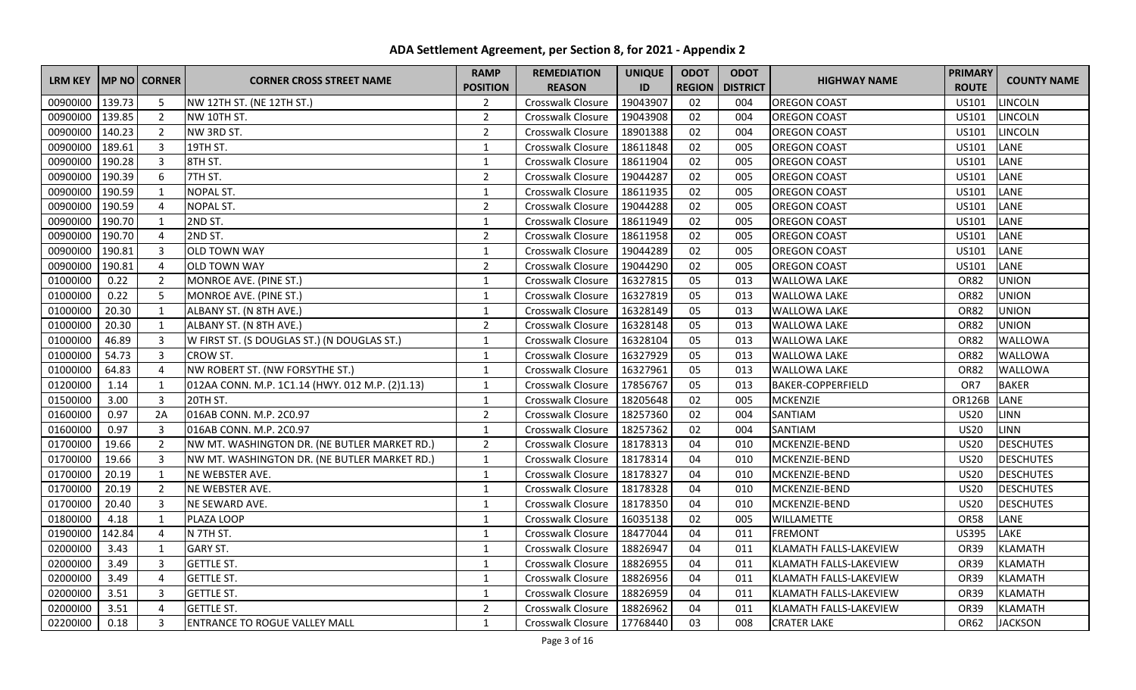#### **LRM KEY MP NO CORNER CORNER CROSS STREET NAME POSITION REMEDIATION REASON UNIQUE ID ODOT REGION ODOT DISTRICT HIGHWAY NAME PRIMARY ROUTE COUNTY NAME** 00900100 |139.73 | 5 |NW 12TH ST. (NE 12TH ST.) Crosswalk Closure |19043907 | 02 | 004 |OREGON COAST US101 |LINCOLN 00900I00 139.85 2 NW 10TH ST. 2 Crosswalk Closure 19043908 02 004 OREGON COAST US101 LINCOLN 00900I00 140.23 2 NW 3RD ST. 2 Crosswalk Closure 18901388 02 004 OREGON COAST US101 LINCOLN 00900l00 |189.61| 3 |19TH ST. | 1 | Crosswalk Closure |18611848| 02 | 005 |OREGON COAST | US101 |LANE 00900l00 |190.28| 3 |8TH ST. | 1 | Crosswalk Closure |18611904| 02 | 005 |OREGON COAST | US101 |LANE 00900l00 |190.39| 6 |7TH ST. | 2 | Crosswalk Closure |19044287| 02 | 005 |OREGON COAST | US101 |LANE 00900I00 190.59 1 NOPAL ST. 1 Crosswalk Closure 18611935 02 005 OREGON COAST US101 LANE 00900l00 |190.59| 4 |NOPAL ST. Crosswalk Closure |19044288| 02 | 005 |OREGON COAST LUS101 |LANE 00900l00 |190.70| 1 |2ND ST. | 1 | Crosswalk Closure |18611949| 02 | 005 |OREGON COAST | US101 |LANE 00900l00 |190.70| 4 |2ND ST. | 2 | Crosswalk Closure |18611958| 02 | 005 |OREGON COAST | US101 |LANE 00900l00 |190.81| 3 |OLD TOWN WAY | 1 | Crosswalk Closure |19044289| 02 | 005 |OREGON COAST | US101 |LANE 00900I00 190.81 4 OLD TOWN WAY 2 Crosswalk Closure 19044290 02 005 OREGON COAST US101 LANE 01000I00 | 0.22 | 2 |MONROE AVE. (PINE ST.) | | | | | Crosswalk Closure |16327815| 05 | WALLOWA LAKE 01000I00 | 0.22 | 5 |MONROE AVE. (PINE ST.) | 1 | Crosswalk Closure |16327819| 05 | 013 |WALLOWA LAKE | OR82 |UNION 01000100 20.30 | 1 ALBANY ST. (N 8TH AVE.) | 1 | Crosswalk Closure | 16328149 | 05 | 013 | WALLOWA LAKE | OR82 |UNION 01000100 | 20.30 | 1 |ALBANY ST. (N 8TH AVE.) | 2 | Crosswalk Closure | 16328148 | 05 | 013 |WALLOWA LAKE | OR82 |UNION 01000I00 | 46.89 | 3 |W FIRST ST. (S DOUGLAS ST.) | | | Crosswalk Closure | 16328104 | 05 | 013 |WALLOWA LAKE | | OR82 |WALLOWA 01000I00 54.73 3 CROW ST. 1 Crosswalk Closure 16327929 05 013 WALLOWA LAKE OR82 WALLOWA 01000I00 64.83 4 NW ROBERT ST. (NW FORSYTHE ST.) 1 Crosswalk Closure 16327961 05 013 WALLOWA LAKE CR82 WALLOWA 01200100 | 1.14 | 1 | 012AA CONN. M.P. 1C1.14 (HWY. 012 M.P. (2)1.13) | 1 | Crosswalk Closure | 17856767 | 05 | 013 | BAKER-COPPERFIELD | OR7 | BAKER 01500l00 | 3.00 | 3 |20TH ST. | 1 | Crosswalk Closure |18205648| 02 | 005 |MCKENZIE | OR126B |LANE 01600100 0.97 2A 016AB CONN. M.P. 2C0.97 2 Crosswalk Closure 18257360 02 004 SANTIAM 2 US20 LINN 01600I00 0.97 3 016AB CONN. M.P. 2C0.97 1 Crosswalk Closure 18257362 02 004 SANTIAM US20 LINN 01700I00 | 19.66 | 2 NW MT. WASHINGTON DR. (NE BUTLER MARKET RD.) | 2 | Crosswalk Closure | 18178313 | 04 | 010 |MCKENZIE-BEND | US20 |DESCHUTES 01700I00 19.66 3 NW MT. WASHINGTON DR. (NE BUTLER MARKET RD.) 1 Crosswalk Closure 18178314 04 010 MCKENZIE-BEND US20 DESCHUTES 01700I00 20.19 1 NE WEBSTER AVE. 1 Crosswalk Closure 18178327 04 010 MCKENZIE-BEND US20 DESCHUTES 01700I00 20.19 2 NE WEBSTER AVE. 1 Crosswalk Closure 18178328 04 010 MCKENZIE-BEND US20 DESCHUTES 01700I00 20.40 3 NE SEWARD AVE. 1 Crosswalk Closure 18178350 04 010 MCKENZIE-BEND US20 DESCHUTES 01800I00 4.18 1 PLAZA LOOP 1 Crosswalk Closure 16035138 02 005 WILLAMETTE OR58 LANE 01900I00 142.84 4 N 7TH ST. 1 Crosswalk Closure 18477044 04 011 FREMONT US395 LAKE 02000I00 3.43 1 GARY ST. 1 Crosswalk Closure 18826947 04 011 KLAMATH FALLS-LAKEVIEW OR39 KLAMATH 02000100 3.49 3 GETTLE ST. 2000100 3.49 GETTLE ST. 200010 ST. 2010 ST. 2010 ST. 2010 ST. 2010 ST. 2010 ST. 2010 02000100 3.49 4 GETTLE ST. Notice of the Strong School of the Strong Crosswalk Closure 18826956 04 011 KLAMATH FALLS-LAKEVIEW 1 OR39 KLAMATH 02000I00 3.51 3 GETTLE ST. 1 Crosswalk Closure 18826959 04 011 KLAMATH FALLS-LAKEVIEW OR39 KLAMATH 02000I00 3.51 4 GETTLE ST. 2 Crosswalk Closure 18826962 04 011 KLAMATH FALLS-LAKEVIEW OR39 KLAMATH 02200I00 | 0.18 | 3 |ENTRANCE TO ROGUE VALLEY MALL | 1 | Crosswalk Closure | 17768440 | 03 | 008 |CRATER LAKE | OR62 |JACKSON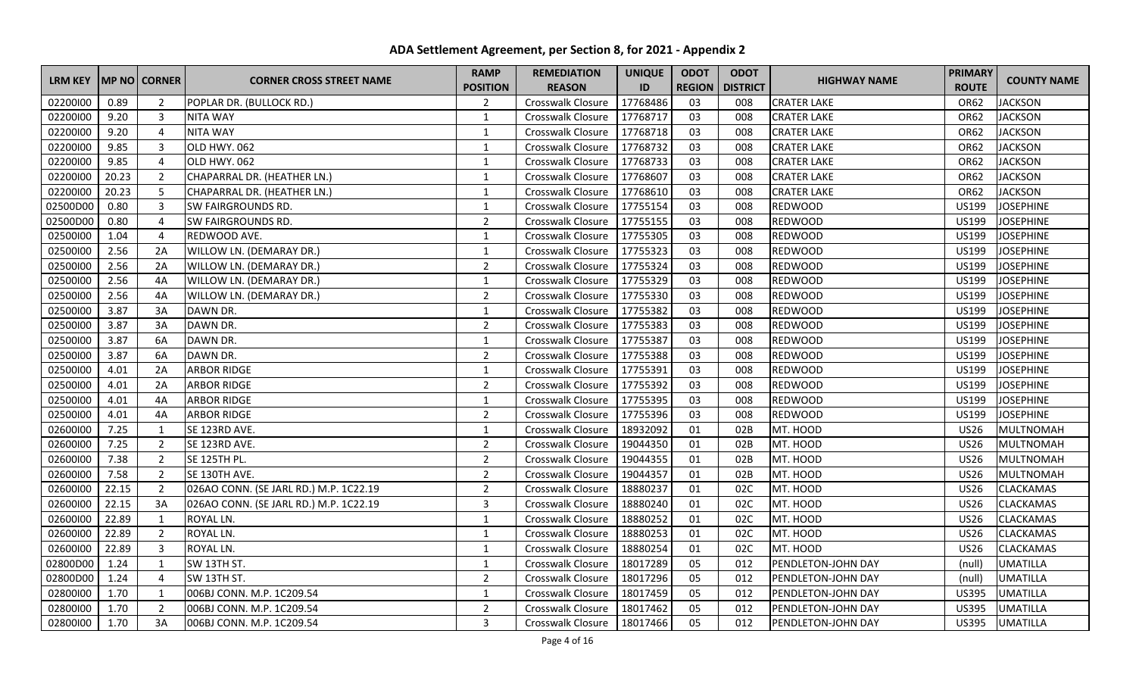|                |       |                         |                                        | <b>RAMP</b>             | <b>REMEDIATION</b> | <b>UNIQUE</b> | <b>ODOT</b>   | <b>ODOT</b>     |                     | <b>PRIMARY</b> |                    |
|----------------|-------|-------------------------|----------------------------------------|-------------------------|--------------------|---------------|---------------|-----------------|---------------------|----------------|--------------------|
| <b>LRM KEY</b> |       | <b>MP NOI CORNER</b>    | <b>CORNER CROSS STREET NAME</b>        | <b>POSITION</b>         | <b>REASON</b>      | ID            | <b>REGION</b> | <b>DISTRICT</b> | <b>HIGHWAY NAME</b> | <b>ROUTE</b>   | <b>COUNTY NAME</b> |
| 02200100       | 0.89  | $\overline{2}$          | POPLAR DR. (BULLOCK RD.)               | $\mathfrak{p}$          | Crosswalk Closure  | 17768486      | 03            | 008             | <b>CRATER LAKE</b>  | OR62           | <b>JACKSON</b>     |
| 02200100       | 9.20  | 3                       | NITA WAY                               | $\overline{1}$          | Crosswalk Closure  | 17768717      | 03            | 008             | <b>CRATER LAKE</b>  | <b>OR62</b>    | <b>JACKSON</b>     |
| 02200100       | 9.20  | $\overline{4}$          | <b>NITA WAY</b>                        | $\overline{\mathbf{1}}$ | Crosswalk Closure  | 17768718      | 03            | 008             | <b>CRATER LAKE</b>  | OR62           | <b>JACKSON</b>     |
| 02200100       | 9.85  | 3                       | OLD HWY. 062                           | $\overline{1}$          | Crosswalk Closure  | 17768732      | 03            | 008             | <b>CRATER LAKE</b>  | <b>OR62</b>    | <b>JACKSON</b>     |
| 02200100       | 9.85  | $\overline{4}$          | OLD HWY. 062                           | $\mathbf{1}$            | Crosswalk Closure  | 17768733      | 03            | 008             | <b>CRATER LAKE</b>  | <b>OR62</b>    | <b>JACKSON</b>     |
| 02200100       | 20.23 | $\overline{2}$          | CHAPARRAL DR. (HEATHER LN.)            | $\mathbf{1}$            | Crosswalk Closure  | 17768607      | 03            | 008             | <b>CRATER LAKE</b>  | <b>OR62</b>    | <b>JACKSON</b>     |
| 02200100       | 20.23 | 5                       | CHAPARRAL DR. (HEATHER LN.)            | $\mathbf{1}$            | Crosswalk Closure  | 17768610      | 03            | 008             | <b>CRATER LAKE</b>  | OR62           | <b>JACKSON</b>     |
| 02500D00       | 0.80  | $\overline{\mathbf{3}}$ | <b>SW FAIRGROUNDS RD.</b>              | $\overline{1}$          | Crosswalk Closure  | 17755154      | 03            | 008             | <b>REDWOOD</b>      | <b>US199</b>   | <b>JOSEPHINE</b>   |
| 02500D00       | 0.80  | $\overline{4}$          | SW FAIRGROUNDS RD.                     | $\overline{2}$          | Crosswalk Closure  | 17755155      | 03            | 008             | <b>REDWOOD</b>      | <b>US199</b>   | <b>JOSEPHINE</b>   |
| 02500100       | 1.04  | $\overline{4}$          | REDWOOD AVE.                           | $\overline{\mathbf{1}}$ | Crosswalk Closure  | 17755305      | 03            | 008             | <b>REDWOOD</b>      | <b>US199</b>   | <b>JOSEPHINE</b>   |
| 02500100       | 2.56  | 2A                      | WILLOW LN. (DEMARAY DR.)               | $\overline{1}$          | Crosswalk Closure  | 17755323      | 03            | 008             | <b>REDWOOD</b>      | US199          | <b>JOSEPHINE</b>   |
| 02500100       | 2.56  | 2A                      | WILLOW LN. (DEMARAY DR.)               | $\overline{2}$          | Crosswalk Closure  | 17755324      | 03            | 008             | <b>REDWOOD</b>      | <b>US199</b>   | <b>JOSEPHINE</b>   |
| 02500100       | 2.56  | 4A                      | WILLOW LN. (DEMARAY DR.)               | $\mathbf 1$             | Crosswalk Closure  | 17755329      | 03            | 008             | <b>REDWOOD</b>      | <b>US199</b>   | <b>JOSEPHINE</b>   |
| 02500100       | 2.56  | 4A                      | WILLOW LN. (DEMARAY DR.)               | $\overline{2}$          | Crosswalk Closure  | 17755330      | 03            | 008             | <b>REDWOOD</b>      | US199          | <b>JOSEPHINE</b>   |
| 02500100       | 3.87  | 3A                      | DAWN DR.                               | $\overline{1}$          | Crosswalk Closure  | 17755382      | 03            | 008             | <b>REDWOOD</b>      | <b>US199</b>   | <b>JOSEPHINE</b>   |
| 02500100       | 3.87  | 3A                      | DAWN DR.                               | $\overline{2}$          | Crosswalk Closure  | 17755383      | 03            | 008             | <b>REDWOOD</b>      | <b>US199</b>   | <b>JOSEPHINE</b>   |
| 02500100       | 3.87  | 6A                      | DAWN DR.                               | $\mathbf{1}$            | Crosswalk Closure  | 17755387      | 03            | 008             | <b>REDWOOD</b>      | <b>US199</b>   | <b>JOSEPHINE</b>   |
| 02500100       | 3.87  | 6A                      | DAWN DR.                               | $\overline{2}$          | Crosswalk Closure  | 17755388      | 03            | 008             | <b>REDWOOD</b>      | US199          | <b>JOSEPHINE</b>   |
| 02500100       | 4.01  | 2A                      | <b>ARBOR RIDGE</b>                     | $\mathbf{1}$            | Crosswalk Closure  | 17755391      | 03            | 008             | <b>REDWOOD</b>      | <b>US199</b>   | <b>JOSEPHINE</b>   |
| 02500100       | 4.01  | 2A                      | <b>ARBOR RIDGE</b>                     | $\overline{2}$          | Crosswalk Closure  | 17755392      | 03            | 008             | <b>REDWOOD</b>      | <b>US199</b>   | <b>JOSEPHINE</b>   |
| 02500100       | 4.01  | 4A                      | <b>ARBOR RIDGE</b>                     | $\mathbf{1}$            | Crosswalk Closure  | 17755395      | 03            | 008             | <b>REDWOOD</b>      | US199          | <b>JOSEPHINE</b>   |
| 02500100       | 4.01  | 4A                      | <b>ARBOR RIDGE</b>                     | $\overline{2}$          | Crosswalk Closure  | 17755396      | 03            | 008             | <b>REDWOOD</b>      | <b>US199</b>   | <b>JOSEPHINE</b>   |
| 02600100       | 7.25  | $\mathbf{1}$            | SE 123RD AVE.                          | $\mathbf{1}$            | Crosswalk Closure  | 18932092      | 01            | 02B             | MT. HOOD            | <b>US26</b>    | <b>MULTNOMAH</b>   |
| 02600100       | 7.25  | $\overline{2}$          | SE 123RD AVE.                          | $\overline{2}$          | Crosswalk Closure  | 19044350      | 01            | 02B             | MT. HOOD            | <b>US26</b>    | MULTNOMAH          |
| 02600100       | 7.38  | $\overline{2}$          | SE 125TH PL.                           | $\overline{2}$          | Crosswalk Closure  | 19044355      | 01            | 02B             | MT. HOOD            | <b>US26</b>    | <b>MULTNOMAH</b>   |
| 02600100       | 7.58  | $\overline{2}$          | SE 130TH AVE.                          | $\overline{2}$          | Crosswalk Closure  | 19044357      | 01            | 02B             | MT. HOOD            | <b>US26</b>    | MULTNOMAH          |
| 02600100       | 22.15 | $\overline{2}$          | 026AO CONN. (SE JARL RD.) M.P. 1C22.19 | $\overline{2}$          | Crosswalk Closure  | 18880237      | 01            | 02C             | MT. HOOD            | <b>US26</b>    | <b>CLACKAMAS</b>   |
| 02600100       | 22.15 | 3A                      | 026AO CONN. (SE JARL RD.) M.P. 1C22.19 | 3                       | Crosswalk Closure  | 18880240      | 01            | 02C             | MT. HOOD            | <b>US26</b>    | <b>CLACKAMAS</b>   |
| 02600100       | 22.89 | 1                       | ROYAL LN.                              | $\mathbf 1$             | Crosswalk Closure  | 18880252      | 01            | 02C             | MT. HOOD            | <b>US26</b>    | <b>CLACKAMAS</b>   |
| 02600100       | 22.89 | $\overline{2}$          | ROYAL LN.                              | $\overline{\mathbf{1}}$ | Crosswalk Closure  | 18880253      | 01            | 02C             | MT. HOOD            | <b>US26</b>    | <b>CLACKAMAS</b>   |
| 02600100       | 22.89 | 3                       | ROYAL LN.                              | - 1                     | Crosswalk Closure  | 18880254      | 01            | 02C             | MT. HOOD            | <b>US26</b>    | <b>CLACKAMAS</b>   |
| 02800D00       | 1.24  | $\mathbf{1}$            | SW 13TH ST.                            | $\overline{1}$          | Crosswalk Closure  | 18017289      | 05            | 012             | PENDLETON-JOHN DAY  | (null)         | <b>UMATILLA</b>    |
| 02800D00       | 1.24  | $\overline{4}$          | SW 13TH ST.                            | $\mathfrak{p}$          | Crosswalk Closure  | 18017296      | 05            | 012             | PENDLETON-JOHN DAY  | (null)         | <b>UMATILLA</b>    |
| 02800100       | 1.70  | $\mathbf{1}$            | 006BJ CONN. M.P. 1C209.54              | $\overline{1}$          | Crosswalk Closure  | 18017459      | 05            | 012             | PENDLETON-JOHN DAY  | <b>US395</b>   | <b>UMATILLA</b>    |
| 02800100       | 1.70  | $\overline{2}$          | 006BJ CONN. M.P. 1C209.54              | $\overline{2}$          | Crosswalk Closure  | 18017462      | 05            | 012             | PENDLETON-JOHN DAY  | <b>US395</b>   | <b>UMATILLA</b>    |
| 02800100       | 1.70  | 3A                      | 006BJ CONN. M.P. 1C209.54              | 3                       | Crosswalk Closure  | 18017466      | 05            | 012             | PENDLETON-JOHN DAY  | <b>US395</b>   | <b>UMATILLA</b>    |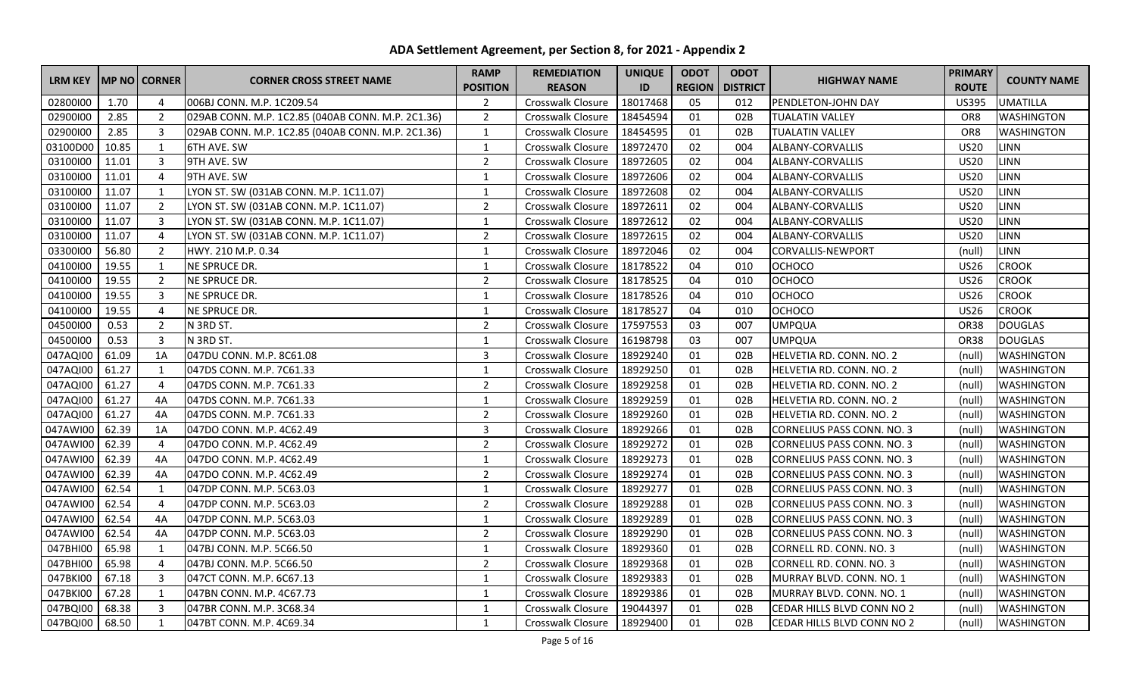| <b>LRM KEY</b> |       | <b>IMP NOI CORNER</b> | <b>CORNER CROSS STREET NAME</b>                   | <b>RAMP</b>             | <b>REMEDIATION</b> | <b>UNIQUE</b> | <b>ODOT</b>   | <b>ODOT</b>     | <b>HIGHWAY NAME</b>               | <b>PRIMARY</b> | <b>COUNTY NAME</b> |
|----------------|-------|-----------------------|---------------------------------------------------|-------------------------|--------------------|---------------|---------------|-----------------|-----------------------------------|----------------|--------------------|
|                |       |                       |                                                   | <b>POSITION</b>         | <b>REASON</b>      | ID            | <b>REGION</b> | <b>DISTRICT</b> |                                   | <b>ROUTE</b>   |                    |
| 02800100       | 1.70  | $\overline{4}$        | 006BJ CONN. M.P. 1C209.54                         | $\overline{2}$          | Crosswalk Closure  | 18017468      | 05            | 012             | PENDLETON-JOHN DAY                | <b>US395</b>   | <b>UMATILLA</b>    |
| 02900100       | 2.85  | $\overline{2}$        | 029AB CONN. M.P. 1C2.85 (040AB CONN. M.P. 2C1.36) | $\overline{2}$          | Crosswalk Closure  | 18454594      | 01            | 02B             | <b>TUALATIN VALLEY</b>            | OR8            | <b>WASHINGTON</b>  |
| 02900100       | 2.85  | $\overline{3}$        | 029AB CONN. M.P. 1C2.85 (040AB CONN. M.P. 2C1.36) | 1                       | Crosswalk Closure  | 18454595      | 01            | 02B             | <b>TUALATIN VALLEY</b>            | OR8            | <b>WASHINGTON</b>  |
| 03100D00       | 10.85 | $\mathbf{1}$          | 6TH AVE. SW                                       | 1                       | Crosswalk Closure  | 18972470      | 02            | 004             | ALBANY-CORVALLIS                  | <b>US20</b>    | LINN               |
| 03100100       | 11.01 | $\mathbf{3}$          | 9TH AVE. SW                                       | $\overline{2}$          | Crosswalk Closure  | 18972605      | 02            | 004             | ALBANY-CORVALLIS                  | <b>US20</b>    | LINN               |
| 03100100       | 11.01 | $\overline{4}$        | 9TH AVE. SW                                       | 1                       | Crosswalk Closure  | 18972606      | 02            | 004             | ALBANY-CORVALLIS                  | <b>US20</b>    | LINN               |
| 03100100       | 11.07 | $\mathbf{1}$          | LYON ST. SW (031AB CONN. M.P. 1C11.07)            | 1                       | Crosswalk Closure  | 18972608      | 02            | 004             | ALBANY-CORVALLIS                  | <b>US20</b>    | LINN               |
| 03100100       | 11.07 | $\overline{2}$        | LYON ST. SW (031AB CONN. M.P. 1C11.07)            | 2                       | Crosswalk Closure  | 18972611      | 02            | 004             | ALBANY-CORVALLIS                  | <b>US20</b>    | LINN               |
| 03100100       | 11.07 | $\overline{3}$        | LYON ST. SW (031AB CONN. M.P. 1C11.07)            | $\mathbf{1}$            | Crosswalk Closure  | 18972612      | 02            | 004             | ALBANY-CORVALLIS                  | <b>US20</b>    | LINN               |
| 03100100       | 11.07 | $\overline{4}$        | LYON ST. SW (031AB CONN. M.P. 1C11.07)            | $\overline{2}$          | Crosswalk Closure  | 18972615      | 02            | 004             | ALBANY-CORVALLIS                  | <b>US20</b>    | LINN               |
| 03300100       | 56.80 | $\overline{2}$        | HWY. 210 M.P. 0.34                                | $\mathbf{1}$            | Crosswalk Closure  | 18972046      | 02            | 004             | <b>CORVALLIS-NEWPORT</b>          | (null)         | LINN               |
| 04100100       | 19.55 | $\mathbf{1}$          | NE SPRUCE DR.                                     | $\overline{1}$          | Crosswalk Closure  | 18178522      | 04            | 010             | <b>OCHOCO</b>                     | <b>US26</b>    | CROOK              |
| 04100100       | 19.55 | $\overline{2}$        | NE SPRUCE DR.                                     | $\overline{2}$          | Crosswalk Closure  | 18178525      | 04            | 010             | <b>OCHOCO</b>                     | <b>US26</b>    | <b>CROOK</b>       |
| 04100100       | 19.55 | $\overline{3}$        | <b>NE SPRUCE DR.</b>                              | $\mathbf{1}$            | Crosswalk Closure  | 18178526      | 04            | 010             | <b>OCHOCO</b>                     | <b>US26</b>    | <b>CROOK</b>       |
| 04100100       | 19.55 | $\overline{4}$        | NE SPRUCE DR.                                     | $\mathbf{1}$            | Crosswalk Closure  | 18178527      | 04            | 010             | <b>OCHOCO</b>                     | <b>US26</b>    | <b>CROOK</b>       |
| 04500100       | 0.53  | $\overline{2}$        | N 3RD ST.                                         | $\overline{2}$          | Crosswalk Closure  | 17597553      | 03            | 007             | <b>UMPQUA</b>                     | <b>OR38</b>    | <b>DOUGLAS</b>     |
| 04500100       | 0.53  | 3                     | N 3RD ST.                                         | $\overline{1}$          | Crosswalk Closure  | 16198798      | 03            | 007             | <b>UMPQUA</b>                     | <b>OR38</b>    | <b>DOUGLAS</b>     |
| 047AQI00       | 61.09 | 1A                    | 047DU CONN. M.P. 8C61.08                          | 3                       | Crosswalk Closure  | 18929240      | 01            | 02B             | HELVETIA RD. CONN. NO. 2          | (null)         | <b>WASHINGTON</b>  |
| 047AQI00       | 61.27 | $\mathbf{1}$          | 047DS CONN. M.P. 7C61.33                          | $\overline{1}$          | Crosswalk Closure  | 18929250      | 01            | 02B             | HELVETIA RD. CONN. NO. 2          | (null)         | <b>WASHINGTON</b>  |
| 047AQI00       | 61.27 | $\overline{4}$        | 047DS CONN. M.P. 7C61.33                          | $\overline{2}$          | Crosswalk Closure  | 18929258      | 01            | 02B             | HELVETIA RD. CONN. NO. 2          | (null)         | <b>WASHINGTON</b>  |
| 047AQI00       | 61.27 | 4A                    | 047DS CONN. M.P. 7C61.33                          | $\mathbf{1}$            | Crosswalk Closure  | 18929259      | 01            | 02B             | HELVETIA RD. CONN. NO. 2          | (null)         | <b>WASHINGTON</b>  |
| 047AQI00       | 61.27 | 4A                    | 047DS CONN. M.P. 7C61.33                          | 2                       | Crosswalk Closure  | 18929260      | 01            | 02B             | HELVETIA RD. CONN. NO. 2          | (null)         | <b>WASHINGTON</b>  |
| 047AWI00       | 62.39 | 1A                    | 047DO CONN. M.P. 4C62.49                          | 3                       | Crosswalk Closure  | 18929266      | 01            | 02B             | <b>CORNELIUS PASS CONN. NO. 3</b> | (null)         | <b>WASHINGTON</b>  |
| 047AWI00       | 62.39 | $\overline{4}$        | 047DO CONN. M.P. 4C62.49                          | $\overline{2}$          | Crosswalk Closure  | 18929272      | 01            | 02B             | <b>CORNELIUS PASS CONN. NO. 3</b> | (null)         | WASHINGTON         |
| 047AWI00       | 62.39 | 4A                    | 047DO CONN. M.P. 4C62.49                          | $\mathbf{1}$            | Crosswalk Closure  | 18929273      | 01            | 02B             | <b>CORNELIUS PASS CONN. NO. 3</b> | (null)         | WASHINGTON         |
| 047AWI00       | 62.39 | 4A                    | 047DO CONN. M.P. 4C62.49                          | $\overline{2}$          | Crosswalk Closure  | 18929274      | 01            | 02B             | CORNELIUS PASS CONN. NO. 3        | (null)         | WASHINGTON         |
| 047AWI00       | 62.54 | $\mathbf{1}$          | 047DP CONN. M.P. 5C63.03                          | $\mathbf{1}$            | Crosswalk Closure  | 18929277      | 01            | 02B             | CORNELIUS PASS CONN. NO. 3        | (null)         | WASHINGTON         |
| 047AWI00       | 62.54 | $\overline{4}$        | 047DP CONN. M.P. 5C63.03                          | $\overline{2}$          | Crosswalk Closure  | 18929288      | 01            | 02B             | CORNELIUS PASS CONN. NO. 3        | (null)         | WASHINGTON         |
| 047AWI00       | 62.54 | 4A                    | 047DP CONN. M.P. 5C63.03                          | $\mathbf{1}$            | Crosswalk Closure  | 18929289      | 01            | 02B             | CORNELIUS PASS CONN. NO. 3        | (null)         | <b>WASHINGTON</b>  |
| 047AWI00       | 62.54 | 4A                    | 047DP CONN. M.P. 5C63.03                          | $\overline{2}$          | Crosswalk Closure  | 18929290      | 01            | 02B             | CORNELIUS PASS CONN. NO. 3        | (null)         | <b>WASHINGTON</b>  |
| 047BHI00       | 65.98 | $\mathbf{1}$          | 047BJ CONN. M.P. 5C66.50                          | $\overline{1}$          | Crosswalk Closure  | 18929360      | 01            | 02B             | CORNELL RD. CONN. NO. 3           | (null)         | <b>WASHINGTON</b>  |
| 047BHI00       | 65.98 | $\overline{4}$        | 047BJ CONN. M.P. 5C66.50                          | $\overline{2}$          | Crosswalk Closure  | 18929368      | 01            | 02B             | CORNELL RD. CONN. NO. 3           | (null)         | <b>WASHINGTON</b>  |
| 047BKI00       | 67.18 | 3                     | 047CT CONN. M.P. 6C67.13                          | $\mathbf{1}$            | Crosswalk Closure  | 18929383      | 01            | 02B             | MURRAY BLVD. CONN. NO. 1          | (null)         | <b>WASHINGTON</b>  |
| 047BKI00       | 67.28 | 1                     | 047BN CONN. M.P. 4C67.73                          | $\overline{\mathbf{1}}$ | Crosswalk Closure  | 18929386      | 01            | 02B             | MURRAY BLVD. CONN. NO. 1          | (null)         | <b>WASHINGTON</b>  |
| 047BQI00       | 68.38 | $\overline{3}$        | 047BR CONN. M.P. 3C68.34                          | $\overline{1}$          | Crosswalk Closure  | 19044397      | 01            | 02B             | CEDAR HILLS BLVD CONN NO 2        | (null)         | <b>WASHINGTON</b>  |
| 047BQI00       | 68.50 | $\mathbf{1}$          | 047BT CONN. M.P. 4C69.34                          | $\mathbf{1}$            | Crosswalk Closure  | 18929400      | 01            | 02B             | CEDAR HILLS BLVD CONN NO 2        | (null)         | <b>WASHINGTON</b>  |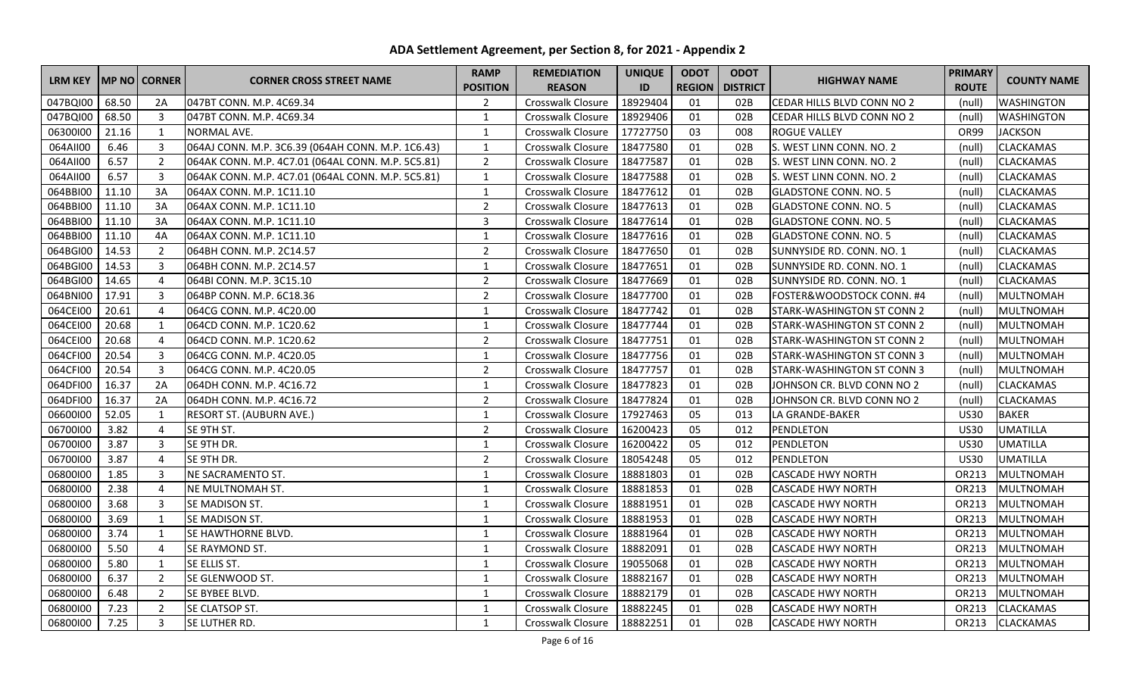| <b>LRM KEY</b> |       | <b>MP NO CORNER</b> | <b>CORNER CROSS STREET NAME</b>                   | <b>RAMP</b>     | <b>REMEDIATION</b>       | <b>UNIQUE</b> | <b>ODOT</b>   | <b>ODOT</b>     | <b>HIGHWAY NAME</b>               | <b>PRIMARY</b> | <b>COUNTY NAME</b> |
|----------------|-------|---------------------|---------------------------------------------------|-----------------|--------------------------|---------------|---------------|-----------------|-----------------------------------|----------------|--------------------|
|                |       |                     |                                                   | <b>POSITION</b> | <b>REASON</b>            | ID            | <b>REGION</b> | <b>DISTRICT</b> |                                   | <b>ROUTE</b>   |                    |
| 047BQI00       | 68.50 | 2A                  | 047BT CONN. M.P. 4C69.34                          | $\overline{2}$  | Crosswalk Closure        | 18929404      | 01            | 02B             | CEDAR HILLS BLVD CONN NO 2        | (null)         | <b>WASHINGTON</b>  |
| 047BQI00       | 68.50 | $\overline{3}$      | 047BT CONN. M.P. 4C69.34                          | $\mathbf{1}$    | Crosswalk Closure        | 18929406      | 01            | 02B             | CEDAR HILLS BLVD CONN NO 2        | (null)         | <b>WASHINGTON</b>  |
| 06300100       | 21.16 | $\mathbf{1}$        | NORMAL AVE.                                       | $\overline{1}$  | Crosswalk Closure        | 17727750      | 03            | 008             | <b>ROGUE VALLEY</b>               | OR99           | <b>JACKSON</b>     |
| 064AII00       | 6.46  | $\overline{3}$      | 064AJ CONN. M.P. 3C6.39 (064AH CONN. M.P. 1C6.43) | 1               | Crosswalk Closure        | 18477580      | 01            | 02B             | S. WEST LINN CONN. NO. 2          | (null)         | <b>CLACKAMAS</b>   |
| 064AII00       | 6.57  | $\overline{2}$      | 064AK CONN. M.P. 4C7.01 (064AL CONN. M.P. 5C5.81) | $\overline{2}$  | Crosswalk Closure        | 18477587      | 01            | 02B             | S. WEST LINN CONN. NO. 2          | (null)         | <b>CLACKAMAS</b>   |
| 064AII00       | 6.57  | $\overline{3}$      | 064AK CONN. M.P. 4C7.01 (064AL CONN. M.P. 5C5.81) | 1               | Crosswalk Closure        | 18477588      | 01            | 02B             | S. WEST LINN CONN. NO. 2          | (null)         | <b>CLACKAMAS</b>   |
| 064BBI00       | 11.10 | 3A                  | 064AX CONN. M.P. 1C11.10                          | 1               | <b>Crosswalk Closure</b> | 18477612      | 01            | 02B             | <b>GLADSTONE CONN. NO. 5</b>      | (null)         | <b>CLACKAMAS</b>   |
| 064BBI00       | 11.10 | 3A                  | 064AX CONN. M.P. 1C11.10                          | $\overline{2}$  | Crosswalk Closure        | 18477613      | 01            | 02B             | <b>GLADSTONE CONN. NO. 5</b>      | (null)         | <b>CLACKAMAS</b>   |
| 064BBI00       | 11.10 | 3A                  | 064AX CONN. M.P. 1C11.10                          | 3               | Crosswalk Closure        | 18477614      | 01            | 02B             | <b>GLADSTONE CONN. NO. 5</b>      | (null)         | <b>CLACKAMAS</b>   |
| 064BBI00       | 11.10 | 4A                  | 064AX CONN. M.P. 1C11.10                          | 1               | Crosswalk Closure        | 18477616      | 01            | 02B             | <b>GLADSTONE CONN. NO. 5</b>      | (null)         | <b>CLACKAMAS</b>   |
| 064BGI00       | 14.53 | $\overline{2}$      | 064BH CONN. M.P. 2C14.57                          | $\overline{2}$  | Crosswalk Closure        | 18477650      | 01            | 02B             | SUNNYSIDE RD. CONN. NO. 1         | (null)         | <b>CLACKAMAS</b>   |
| 064BGI00       | 14.53 | 3                   | 064BH CONN. M.P. 2C14.57                          | $\mathbf{1}$    | Crosswalk Closure        | 18477651      | 01            | 02B             | SUNNYSIDE RD. CONN. NO. 1         | (null)         | <b>CLACKAMAS</b>   |
| 064BGI00       | 14.65 | $\overline{4}$      | 064BI CONN. M.P. 3C15.10                          | $\overline{2}$  | Crosswalk Closure        | 18477669      | 01            | 02B             | SUNNYSIDE RD. CONN. NO. 1         | (null)         | <b>CLACKAMAS</b>   |
| 064BNI00       | 17.91 | $\overline{3}$      | 064BP CONN. M.P. 6C18.36                          | 2               | Crosswalk Closure        | 18477700      | 01            | 02B             | FOSTER&WOODSTOCK CONN. #4         | (null)         | <b>MULTNOMAH</b>   |
| 064CEI00       | 20.61 | $\overline{4}$      | 064CG CONN. M.P. 4C20.00                          | $\mathbf{1}$    | Crosswalk Closure        | 18477742      | 01            | 02B             | STARK-WASHINGTON ST CONN 2        | (null)         | <b>MULTNOMAH</b>   |
| 064CEI00       | 20.68 | $\mathbf{1}$        | 064CD CONN. M.P. 1C20.62                          | $\mathbf{1}$    | Crosswalk Closure        | 18477744      | 01            | 02B             | STARK-WASHINGTON ST CONN 2        | (null)         | <b>MULTNOMAH</b>   |
| 064CEI00       | 20.68 | $\overline{4}$      | 064CD CONN. M.P. 1C20.62                          | $\overline{2}$  | Crosswalk Closure        | 18477751      | 01            | 02B             | STARK-WASHINGTON ST CONN 2        | (null)         | <b>MULTNOMAH</b>   |
| 064CFI00       | 20.54 | $\overline{3}$      | 064CG CONN. M.P. 4C20.05                          | $\mathbf{1}$    | Crosswalk Closure        | 18477756      | 01            | 02B             | <b>STARK-WASHINGTON ST CONN 3</b> | (null)         | <b>MULTNOMAH</b>   |
| 064CFI00       | 20.54 | $\overline{3}$      | 064CG CONN. M.P. 4C20.05                          | $\overline{2}$  | Crosswalk Closure        | 18477757      | 01            | 02B             | <b>STARK-WASHINGTON ST CONN 3</b> | (null)         | <b>MULTNOMAH</b>   |
| 064DFI00       | 16.37 | 2A                  | 064DH CONN. M.P. 4C16.72                          | $\mathbf{1}$    | Crosswalk Closure        | 18477823      | 01            | 02B             | JOHNSON CR. BLVD CONN NO 2        | (null)         | <b>CLACKAMAS</b>   |
| 064DFI00       | 16.37 | 2A                  | 064DH CONN. M.P. 4C16.72                          | 2               | Crosswalk Closure        | 18477824      | 01            | 02B             | JOHNSON CR. BLVD CONN NO 2        | (null)         | <b>CLACKAMAS</b>   |
| 06600100       | 52.05 | $\mathbf{1}$        | RESORT ST. (AUBURN AVE.)                          | $\mathbf{1}$    | Crosswalk Closure        | 17927463      | 05            | 013             | LA GRANDE-BAKER                   | <b>US30</b>    | <b>BAKER</b>       |
| 06700100       | 3.82  | $\overline{4}$      | SE 9TH ST.                                        | $\overline{2}$  | Crosswalk Closure        | 16200423      | 05            | 012             | PENDLETON                         | <b>US30</b>    | <b>UMATILLA</b>    |
| 06700100       | 3.87  | $\overline{3}$      | SE 9TH DR.                                        | $\mathbf{1}$    | Crosswalk Closure        | 16200422      | 05            | 012             | <b>PENDLETON</b>                  | <b>US30</b>    | UMATILLA           |
| 06700100       | 3.87  | $\overline{4}$      | SE 9TH DR.                                        | $\overline{2}$  | Crosswalk Closure        | 18054248      | 05            | 012             | <b>PENDLETON</b>                  | <b>US30</b>    | UMATILLA           |
| 06800100       | 1.85  | $\overline{3}$      | NE SACRAMENTO ST.                                 | -1              | Crosswalk Closure        | 18881803      | 01            | 02B             | <b>CASCADE HWY NORTH</b>          | OR213          | MULTNOMAH          |
| 06800100       | 2.38  | $\overline{4}$      | NE MULTNOMAH ST.                                  | $\overline{1}$  | Crosswalk Closure        | 18881853      | 01            | 02B             | <b>CASCADE HWY NORTH</b>          | OR213          | MULTNOMAH          |
| 06800100       | 3.68  | $\overline{3}$      | SE MADISON ST.                                    | $\mathbf{1}$    | Crosswalk Closure        | 18881951      | 01            | 02B             | <b>CASCADE HWY NORTH</b>          | OR213          | MULTNOMAH          |
| 06800100       | 3.69  | $\mathbf{1}$        | SE MADISON ST.                                    | 1               | Crosswalk Closure        | 18881953      | 01            | 02B             | <b>CASCADE HWY NORTH</b>          | OR213          | <b>MULTNOMAH</b>   |
| 06800100       | 3.74  | $\mathbf{1}$        | SE HAWTHORNE BLVD.                                | $\mathbf{1}$    | Crosswalk Closure        | 18881964      | 01            | 02B             | <b>CASCADE HWY NORTH</b>          | OR213          | <b>MULTNOMAH</b>   |
| 06800100       | 5.50  | $\overline{4}$      | SE RAYMOND ST.                                    | $\mathbf{1}$    | Crosswalk Closure        | 18882091      | 01            | 02B             | <b>CASCADE HWY NORTH</b>          | OR213          | <b>MULTNOMAH</b>   |
| 06800100       | 5.80  | $\mathbf{1}$        | SE ELLIS ST.                                      | $\mathbf 1$     | Crosswalk Closure        | 19055068      | 01            | 02B             | <b>CASCADE HWY NORTH</b>          | OR213          | <b>MULTNOMAH</b>   |
| 06800100       | 6.37  | $\overline{2}$      | ISE GLENWOOD ST.                                  | $\mathbf{1}$    | Crosswalk Closure        | 18882167      | 01            | 02B             | <b>CASCADE HWY NORTH</b>          | OR213          | <b>MULTNOMAH</b>   |
| 06800100       | 6.48  | $\overline{2}$      | SE BYBEE BLVD.                                    | $\mathbf{1}$    | Crosswalk Closure        | 18882179      | 01            | 02B             | <b>CASCADE HWY NORTH</b>          | OR213          | <b>MULTNOMAH</b>   |
| 06800100       | 7.23  | $\overline{2}$      | SE CLATSOP ST.                                    | $\mathbf{1}$    | Crosswalk Closure        | 18882245      | 01            | 02B             | <b>CASCADE HWY NORTH</b>          | OR213          | <b>CLACKAMAS</b>   |
| 06800100       | 7.25  | $\overline{3}$      | SE LUTHER RD.                                     | 1               | Crosswalk Closure        | 18882251      | 01            | 02B             | <b>CASCADE HWY NORTH</b>          | OR213          | <b>CLACKAMAS</b>   |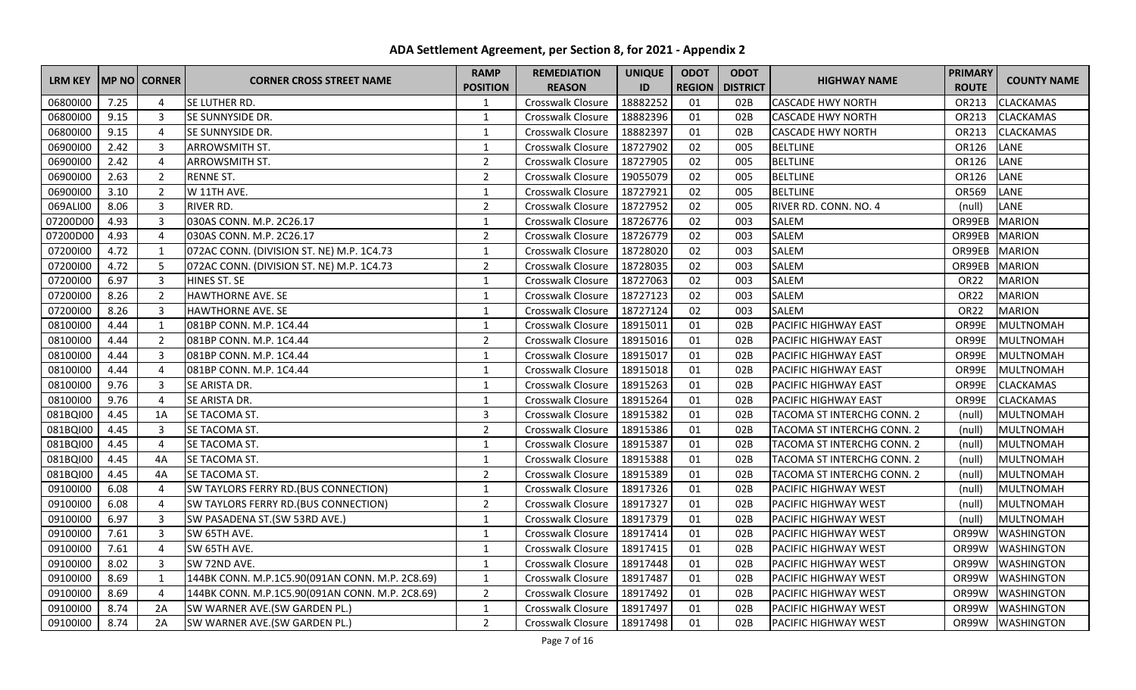|                |      |                      |                                                 | <b>RAMP</b>     | <b>REMEDIATION</b> | <b>UNIQUE</b> | <b>ODOT</b>   | <b>ODOT</b>     |                             | <b>PRIMARY</b>   |                    |
|----------------|------|----------------------|-------------------------------------------------|-----------------|--------------------|---------------|---------------|-----------------|-----------------------------|------------------|--------------------|
| <b>LRM KEY</b> |      | <b>MP NOI CORNER</b> | <b>CORNER CROSS STREET NAME</b>                 | <b>POSITION</b> | <b>REASON</b>      | ID            | <b>REGION</b> | <b>DISTRICT</b> | <b>HIGHWAY NAME</b>         | <b>ROUTE</b>     | <b>COUNTY NAME</b> |
| 06800100       | 7.25 | $\overline{4}$       | SE LUTHER RD.                                   |                 | Crosswalk Closure  | 18882252      | 01            | 02B             | <b>CASCADE HWY NORTH</b>    | OR213            | <b>CLACKAMAS</b>   |
| 06800100       | 9.15 | $\overline{3}$       | SE SUNNYSIDE DR.                                | $\mathbf 1$     | Crosswalk Closure  | 18882396      | 01            | 02B             | <b>CASCADE HWY NORTH</b>    | OR213            | <b>CLACKAMAS</b>   |
| 06800100       | 9.15 | $\overline{4}$       | SE SUNNYSIDE DR.                                |                 | Crosswalk Closure  | 18882397      | 01            | 02B             | <b>CASCADE HWY NORTH</b>    | OR213            | <b>CLACKAMAS</b>   |
| 06900100       | 2.42 | $\overline{3}$       | <b>ARROWSMITH ST.</b>                           | $\mathbf 1$     | Crosswalk Closure  | 18727902      | 02            | 005             | <b>BELTLINE</b>             | OR126            | LANE               |
| 06900100       | 2.42 | $\overline{4}$       | ARROWSMITH ST.                                  | $\overline{2}$  | Crosswalk Closure  | 18727905      | 02            | 005             | <b>BELTLINE</b>             | OR126            | LANE               |
| 06900100       | 2.63 | $\overline{2}$       | <b>RENNE ST.</b>                                | $\overline{2}$  | Crosswalk Closure  | 19055079      | 02            | 005             | <b>BELTLINE</b>             | OR126            | LANE               |
| 06900100       | 3.10 | $\overline{2}$       | W 11TH AVE.                                     | $\mathbf{1}$    | Crosswalk Closure  | 18727921      | 02            | 005             | <b>BELTLINE</b>             | OR569            | LANE               |
| 069ALI00       | 8.06 | 3                    | <b>RIVER RD.</b>                                | $\overline{2}$  | Crosswalk Closure  | 18727952      | 02            | 005             | RIVER RD. CONN. NO. 4       | (null)           | LANE               |
| 07200D00       | 4.93 | $\overline{3}$       | 030AS CONN. M.P. 2C26.17                        | $\mathbf{1}$    | Crosswalk Closure  | 18726776      | 02            | 003             | SALEM                       | OR99EB           | <b>MARION</b>      |
| 07200D00       | 4.93 | $\overline{4}$       | 030AS CONN. M.P. 2C26.17                        | $\overline{2}$  | Crosswalk Closure  | 18726779      | 02            | 003             | SALEM                       | OR99EB           | <b>MARION</b>      |
| 07200100       | 4.72 | $\mathbf{1}$         | 072AC CONN. (DIVISION ST. NE) M.P. 1C4.73       | 1               | Crosswalk Closure  | 18728020      | 02            | 003             | <b>SALEM</b>                | OR99EB           | <b>MARION</b>      |
| 07200100       | 4.72 | 5                    | 072AC CONN. (DIVISION ST. NE) M.P. 1C4.73       | $\overline{2}$  | Crosswalk Closure  | 18728035      | 02            | 003             | SALEM                       | OR99EB           | <b>MARION</b>      |
| 07200100       | 6.97 | $\overline{3}$       | HINES ST. SE                                    | 1               | Crosswalk Closure  | 18727063      | 02            | 003             | SALEM                       | <b>OR22</b>      | <b>MARION</b>      |
| 07200100       | 8.26 | $\overline{2}$       | HAWTHORNE AVE. SE                               | -1              | Crosswalk Closure  | 18727123      | 02            | 003             | SALEM                       | OR <sub>22</sub> | <b>MARION</b>      |
| 07200100       | 8.26 | $\overline{3}$       | HAWTHORNE AVE. SE                               | -1              | Crosswalk Closure  | 18727124      | 02            | 003             | SALEM                       | <b>OR22</b>      | <b>MARION</b>      |
| 08100100       | 4.44 | $\mathbf{1}$         | 081BP CONN. M.P. 1C4.44                         | 1               | Crosswalk Closure  | 18915011      | 01            | 02B             | <b>PACIFIC HIGHWAY EAST</b> | OR99E            | <b>MULTNOMAH</b>   |
| 08100100       | 4.44 | $\overline{2}$       | 081BP CONN. M.P. 1C4.44                         | $\overline{2}$  | Crosswalk Closure  | 18915016      | 01            | 02B             | PACIFIC HIGHWAY EAST        | OR99E            | <b>MULTNOMAH</b>   |
| 08100100       | 4.44 | $\overline{3}$       | 081BP CONN. M.P. 1C4.44                         | $\mathbf{1}$    | Crosswalk Closure  | 18915017      | 01            | 02B             | <b>PACIFIC HIGHWAY EAST</b> | OR99E            | <b>MULTNOMAH</b>   |
| 08100100       | 4.44 | $\overline{4}$       | 081BP CONN. M.P. 1C4.44                         |                 | Crosswalk Closure  | 18915018      | 01            | 02B             | <b>PACIFIC HIGHWAY EAST</b> | OR99E            | <b>MULTNOMAH</b>   |
| 08100100       | 9.76 | $\overline{3}$       | SE ARISTA DR.                                   |                 | Crosswalk Closure  | 18915263      | 01            | 02B             | <b>PACIFIC HIGHWAY EAST</b> | OR99E            | <b>CLACKAMAS</b>   |
| 08100100       | 9.76 | $\overline{4}$       | SE ARISTA DR.                                   | $\mathbf{1}$    | Crosswalk Closure  | 18915264      | 01            | 02B             | <b>PACIFIC HIGHWAY EAST</b> | OR99E            | <b>CLACKAMAS</b>   |
| 081BQI00       | 4.45 | 1A                   | SE TACOMA ST.                                   | 3               | Crosswalk Closure  | 18915382      | 01            | 02B             | TACOMA ST INTERCHG CONN. 2  | (null)           | <b>MULTNOMAH</b>   |
| 081BQI00       | 4.45 | $\overline{3}$       | SE TACOMA ST.                                   | $\overline{2}$  | Crosswalk Closure  | 18915386      | 01            | 02B             | TACOMA ST INTERCHG CONN. 2  | (null)           | <b>MULTNOMAH</b>   |
| 081BQI00       | 4.45 | $\overline{4}$       | SE TACOMA ST.                                   | 1               | Crosswalk Closure  | 18915387      | 01            | 02B             | TACOMA ST INTERCHG CONN. 2  | (null)           | <b>MULTNOMAH</b>   |
| 081BQI00       | 4.45 | 4A                   | SE TACOMA ST.                                   | 1               | Crosswalk Closure  | 18915388      | 01            | 02B             | TACOMA ST INTERCHG CONN. 2  | (null)           | <b>MULTNOMAH</b>   |
| 081BQI00       | 4.45 | 4A                   | SE TACOMA ST.                                   | $\overline{2}$  | Crosswalk Closure  | 18915389      | 01            | 02B             | TACOMA ST INTERCHG CONN. 2  | (null)           | MULTNOMAH          |
| 09100100       | 6.08 | $\overline{4}$       | SW TAYLORS FERRY RD. (BUS CONNECTION)           | $\mathbf 1$     | Crosswalk Closure  | 18917326      | 01            | 02B             | <b>PACIFIC HIGHWAY WEST</b> | (null)           | <b>MULTNOMAH</b>   |
| 09100100       | 6.08 | $\overline{4}$       | SW TAYLORS FERRY RD. (BUS CONNECTION)           | $\overline{2}$  | Crosswalk Closure  | 18917327      | 01            | 02B             | <b>PACIFIC HIGHWAY WEST</b> | (null)           | <b>MULTNOMAH</b>   |
| 09100100       | 6.97 | $\overline{3}$       | SW PASADENA ST.(SW 53RD AVE.)                   | -1              | Crosswalk Closure  | 18917379      | 01            | 02B             | <b>PACIFIC HIGHWAY WEST</b> | (null)           | <b>MULTNOMAH</b>   |
| 09100100       | 7.61 | $\overline{3}$       | SW 65TH AVE.                                    | $\mathbf 1$     | Crosswalk Closure  | 18917414      | 01            | 02B             | <b>PACIFIC HIGHWAY WEST</b> | OR99W            | WASHINGTON         |
| 09100100       | 7.61 | $\overline{4}$       | SW 65TH AVE.                                    | -1              | Crosswalk Closure  | 18917415      | 01            | 02B             | <b>PACIFIC HIGHWAY WEST</b> | OR99W            | <b>WASHINGTON</b>  |
| 09100100       | 8.02 | $\overline{3}$       | SW 72ND AVE.                                    | 1               | Crosswalk Closure  | 18917448      | 01            | 02B             | <b>PACIFIC HIGHWAY WEST</b> | OR99W            | <b>WASHINGTON</b>  |
| 09100100       | 8.69 | $\mathbf{1}$         | 144BK CONN. M.P.1C5.90(091AN CONN. M.P. 2C8.69) | 1               | Crosswalk Closure  | 18917487      | 01            | 02B             | <b>PACIFIC HIGHWAY WEST</b> | OR99W            | <b>WASHINGTON</b>  |
| 09100100       | 8.69 | $\overline{4}$       | 144BK CONN. M.P.1C5.90(091AN CONN. M.P. 2C8.69) | $\overline{2}$  | Crosswalk Closure  | 18917492      | 01            | 02B             | <b>PACIFIC HIGHWAY WEST</b> | OR99W            | <b>WASHINGTON</b>  |
| 09100100       | 8.74 | 2A                   | SW WARNER AVE. (SW GARDEN PL.)                  | $\mathbf{1}$    | Crosswalk Closure  | 18917497      | 01            | 02B             | <b>PACIFIC HIGHWAY WEST</b> | OR99W            | <b>WASHINGTON</b>  |
| 09100100       | 8.74 | 2A                   | SW WARNER AVE.(SW GARDEN PL.)                   | $\overline{2}$  | Crosswalk Closure  | 18917498      | 01            | 02B             | <b>PACIFIC HIGHWAY WEST</b> | OR99W            | <b>WASHINGTON</b>  |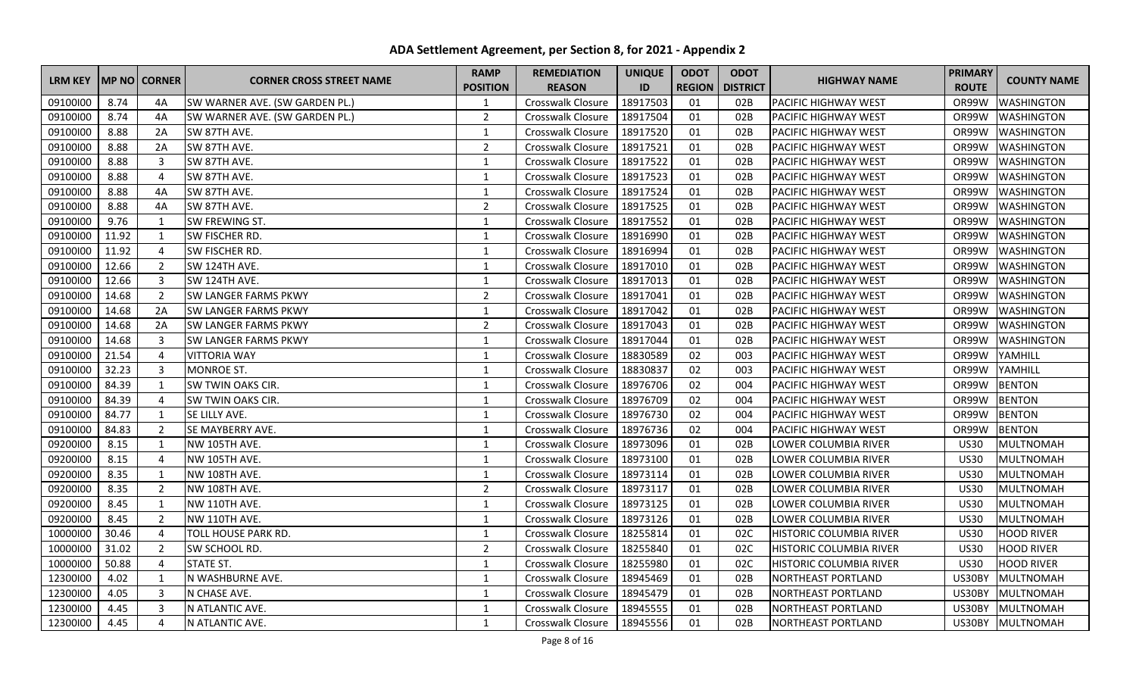|                |       |                       |                                 | <b>RAMP</b>     | <b>REMEDIATION</b> | <b>UNIQUE</b> | <b>ODOT</b>   | <b>ODOT</b>     |                                | <b>PRIMARY</b> |                    |
|----------------|-------|-----------------------|---------------------------------|-----------------|--------------------|---------------|---------------|-----------------|--------------------------------|----------------|--------------------|
| <b>LRM KEY</b> |       | <b>IMP NOI CORNER</b> | <b>CORNER CROSS STREET NAME</b> | <b>POSITION</b> | <b>REASON</b>      | ID            | <b>REGION</b> | <b>DISTRICT</b> | <b>HIGHWAY NAME</b>            | <b>ROUTE</b>   | <b>COUNTY NAME</b> |
| 09100100       | 8.74  | 4A                    | SW WARNER AVE. (SW GARDEN PL.)  | $\mathbf{1}$    | Crosswalk Closure  | 18917503      | 01            | 02B             | <b>PACIFIC HIGHWAY WEST</b>    | OR99W          | <b>WASHINGTON</b>  |
| 09100100       | 8.74  | 4A                    | SW WARNER AVE. (SW GARDEN PL.)  | $\overline{2}$  | Crosswalk Closure  | 18917504      | 01            | 02B             | PACIFIC HIGHWAY WEST           | OR99W          | <b>WASHINGTON</b>  |
| 09100100       | 8.88  | 2A                    | SW 87TH AVE.                    | $\mathbf{1}$    | Crosswalk Closure  | 18917520      | 01            | 02B             | <b>PACIFIC HIGHWAY WEST</b>    | OR99W          | <b>WASHINGTON</b>  |
| 09100100       | 8.88  | 2A                    | SW 87TH AVE.                    | $\overline{2}$  | Crosswalk Closure  | 18917521      | 01            | 02B             | <b>PACIFIC HIGHWAY WEST</b>    | OR99W          | <b>WASHINGTON</b>  |
| 09100100       | 8.88  | $\overline{3}$        | SW 87TH AVE.                    | $\mathbf{1}$    | Crosswalk Closure  | 18917522      | 01            | 02B             | PACIFIC HIGHWAY WEST           | OR99W          | <b>WASHINGTON</b>  |
| 09100100       | 8.88  | $\overline{4}$        | SW 87TH AVE.                    | 1               | Crosswalk Closure  | 18917523      | 01            | 02B             | PACIFIC HIGHWAY WEST           | OR99W          | <b>WASHINGTON</b>  |
| 09100100       | 8.88  | 4A                    | SW 87TH AVE.                    | $\mathbf{1}$    | Crosswalk Closure  | 18917524      | 01            | 02B             | <b>PACIFIC HIGHWAY WEST</b>    | OR99W          | <b>WASHINGTON</b>  |
| 09100100       | 8.88  | 4A                    | SW 87TH AVE.                    | $\overline{2}$  | Crosswalk Closure  | 18917525      | 01            | 02B             | PACIFIC HIGHWAY WEST           | OR99W          | <b>WASHINGTON</b>  |
| 09100100       | 9.76  | $\mathbf{1}$          | <b>SW FREWING ST.</b>           | 1               | Crosswalk Closure  | 18917552      | 01            | 02B             | PACIFIC HIGHWAY WEST           | OR99W          | <b>WASHINGTON</b>  |
| 09100100       | 11.92 | $\mathbf{1}$          | <b>SW FISCHER RD.</b>           | 1               | Crosswalk Closure  | 18916990      | 01            | 02B             | PACIFIC HIGHWAY WEST           | OR99W          | <b>WASHINGTON</b>  |
| 09100100       | 11.92 | $\overline{4}$        | SW FISCHER RD.                  | 1               | Crosswalk Closure  | 18916994      | 01            | 02B             | PACIFIC HIGHWAY WEST           | OR99W          | <b>WASHINGTON</b>  |
| 09100100       | 12.66 | $\overline{2}$        | SW 124TH AVE.                   | 1               | Crosswalk Closure  | 18917010      | 01            | 02B             | PACIFIC HIGHWAY WEST           | OR99W          | <b>WASHINGTON</b>  |
| 09100100       | 12.66 | $\overline{3}$        | SW 124TH AVE.                   | -1              | Crosswalk Closure  | 18917013      | 01            | 02B             | PACIFIC HIGHWAY WEST           | OR99W          | <b>WASHINGTON</b>  |
| 09100100       | 14.68 | $\overline{2}$        | <b>SW LANGER FARMS PKWY</b>     | $\overline{2}$  | Crosswalk Closure  | 18917041      | 01            | 02B             | <b>PACIFIC HIGHWAY WEST</b>    | OR99W          | <b>WASHINGTON</b>  |
| 09100100       | 14.68 | 2A                    | SW LANGER FARMS PKWY            | $\mathbf{1}$    | Crosswalk Closure  | 18917042      | 01            | 02B             | PACIFIC HIGHWAY WEST           | OR99W          | <b>WASHINGTON</b>  |
| 09100100       | 14.68 | 2A                    | SW LANGER FARMS PKWY            | $\overline{2}$  | Crosswalk Closure  | 18917043      | 01            | 02B             | PACIFIC HIGHWAY WEST           | OR99W          | <b>WASHINGTON</b>  |
| 09100100       | 14.68 | $\overline{3}$        | SW LANGER FARMS PKWY            | $\mathbf{1}$    | Crosswalk Closure  | 18917044      | 01            | 02B             | <b>PACIFIC HIGHWAY WEST</b>    | OR99W          | <b>WASHINGTON</b>  |
| 09100100       | 21.54 | 4                     | <b>VITTORIA WAY</b>             | $\mathbf{1}$    | Crosswalk Closure  | 18830589      | 02            | 003             | <b>PACIFIC HIGHWAY WEST</b>    | OR99W          | YAMHILL            |
| 09100100       | 32.23 | $\overline{3}$        | <b>MONROE ST.</b>               | $\mathbf{1}$    | Crosswalk Closure  | 18830837      | 02            | 003             | PACIFIC HIGHWAY WEST           | OR99W          | YAMHILL            |
| 09100100       | 84.39 | $\mathbf{1}$          | SW TWIN OAKS CIR.               | 1               | Crosswalk Closure  | 18976706      | 02            | 004             | PACIFIC HIGHWAY WEST           | OR99W          | <b>BENTON</b>      |
| 09100100       | 84.39 | $\overline{4}$        | SW TWIN OAKS CIR.               | $\mathbf{1}$    | Crosswalk Closure  | 18976709      | 02            | 004             | <b>PACIFIC HIGHWAY WEST</b>    | OR99W          | <b>BENTON</b>      |
| 09100100       | 84.77 | $\mathbf{1}$          | SE LILLY AVE.                   | $\mathbf{1}$    | Crosswalk Closure  | 18976730      | 02            | 004             | <b>PACIFIC HIGHWAY WEST</b>    | OR99W          | <b>BENTON</b>      |
| 09100100       | 84.83 | $\overline{2}$        | SE MAYBERRY AVE.                | $\mathbf{1}$    | Crosswalk Closure  | 18976736      | 02            | 004             | <b>PACIFIC HIGHWAY WEST</b>    | OR99W          | <b>BENTON</b>      |
| 09200100       | 8.15  | -1                    | NW 105TH AVE.                   | $\mathbf{1}$    | Crosswalk Closure  | 18973096      | 01            | 02B             | LOWER COLUMBIA RIVER           | <b>US30</b>    | <b>MULTNOMAH</b>   |
| 09200100       | 8.15  | $\overline{4}$        | <b>NW 105TH AVE.</b>            | 1               | Crosswalk Closure  | 18973100      | 01            | 02B             | LOWER COLUMBIA RIVER           | <b>US30</b>    | <b>MULTNOMAH</b>   |
| 09200100       | 8.35  | -1                    | NW 108TH AVE.                   | $\mathbf{1}$    | Crosswalk Closure  | 18973114      | 01            | 02B             | LOWER COLUMBIA RIVER           | <b>US30</b>    | <b>MULTNOMAH</b>   |
| 09200100       | 8.35  | $\overline{2}$        | <b>NW 108TH AVE.</b>            | $\overline{2}$  | Crosswalk Closure  | 18973117      | 01            | 02B             | LOWER COLUMBIA RIVER           | <b>US30</b>    | <b>MULTNOMAH</b>   |
| 09200100       | 8.45  | -1                    | <b>NW 110TH AVE.</b>            | 1               | Crosswalk Closure  | 18973125      | 01            | 02B             | LOWER COLUMBIA RIVER           | <b>US30</b>    | <b>MULTNOMAH</b>   |
| 09200100       | 8.45  | $\overline{2}$        | NW 110TH AVE.                   | 1               | Crosswalk Closure  | 18973126      | 01            | 02B             | LOWER COLUMBIA RIVER           | <b>US30</b>    | <b>MULTNOMAH</b>   |
| 10000100       | 30.46 | $\overline{4}$        | TOLL HOUSE PARK RD.             | $\mathbf{1}$    | Crosswalk Closure  | 18255814      | 01            | 02C             | HISTORIC COLUMBIA RIVER        | <b>US30</b>    | <b>HOOD RIVER</b>  |
| 10000100       | 31.02 | $\overline{2}$        | SW SCHOOL RD.                   | $\overline{2}$  | Crosswalk Closure  | 18255840      | 01            | 02C             | HISTORIC COLUMBIA RIVER        | <b>US30</b>    | <b>HOOD RIVER</b>  |
| 10000100       | 50.88 | $\overline{4}$        | STATE ST.                       | $\mathbf{1}$    | Crosswalk Closure  | 18255980      | 01            | 02C             | <b>HISTORIC COLUMBIA RIVER</b> | <b>US30</b>    | <b>HOOD RIVER</b>  |
| 12300100       | 4.02  | $\overline{1}$        | N WASHBURNE AVE.                | $\mathbf{1}$    | Crosswalk Closure  | 18945469      | 01            | 02B             | NORTHEAST PORTLAND             | US30BY         | <b>MULTNOMAH</b>   |
| 12300100       | 4.05  | $\overline{3}$        | N CHASE AVE.                    | $\mathbf{1}$    | Crosswalk Closure  | 18945479      | 01            | 02B             | NORTHEAST PORTLAND             | US30BY         | <b>MULTNOMAH</b>   |
| 12300100       | 4.45  | 3                     | N ATLANTIC AVE.                 | $\mathbf{1}$    | Crosswalk Closure  | 18945555      | 01            | 02B             | NORTHEAST PORTLAND             | US30BY         | <b>MULTNOMAH</b>   |
| 12300100       | 4.45  | 4                     | N ATLANTIC AVE.                 | 1               | Crosswalk Closure  | 18945556      | 01            | 02B             | NORTHEAST PORTLAND             | US30BY         | MULTNOMAH          |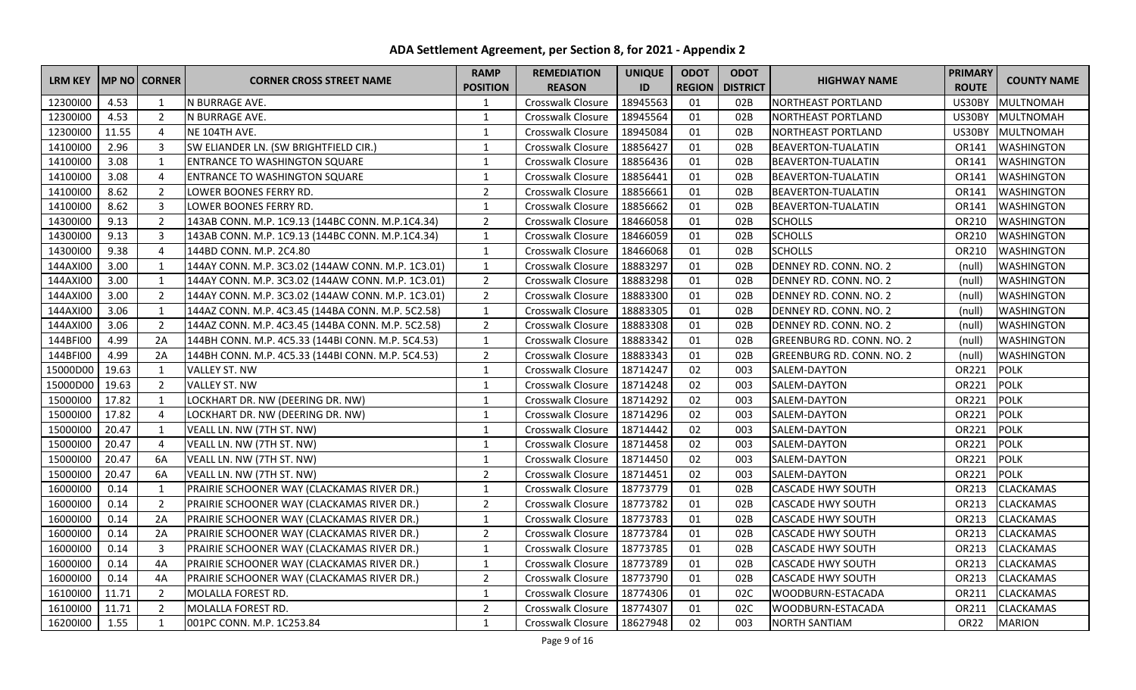| <b>LRM KEY</b> |       | <b>IMP NOI CORNER</b> | <b>CORNER CROSS STREET NAME</b>                   | <b>RAMP</b>     | <b>REMEDIATION</b> | <b>UNIQUE</b> | <b>ODOT</b>   | <b>ODOT</b>     | <b>HIGHWAY NAME</b>              | <b>PRIMARY</b>   | <b>COUNTY NAME</b> |
|----------------|-------|-----------------------|---------------------------------------------------|-----------------|--------------------|---------------|---------------|-----------------|----------------------------------|------------------|--------------------|
|                |       |                       |                                                   | <b>POSITION</b> | <b>REASON</b>      | ID            | <b>REGION</b> | <b>DISTRICT</b> |                                  | <b>ROUTE</b>     |                    |
| 12300100       | 4.53  | $\mathbf{1}$          | N BURRAGE AVE.                                    |                 | Crosswalk Closure  | 18945563      | 01            | 02B             | <b>NORTHEAST PORTLAND</b>        | US30BY           | <b>MULTNOMAH</b>   |
| 12300100       | 4.53  | $\overline{2}$        | N BURRAGE AVE.                                    | 1               | Crosswalk Closure  | 18945564      | 01            | 02B             | <b>NORTHEAST PORTLAND</b>        | US30BY           | <b>MULTNOMAH</b>   |
| 12300100       | 11.55 | $\overline{4}$        | NE 104TH AVE.                                     | $\mathbf{1}$    | Crosswalk Closure  | 18945084      | 01            | 02B             | <b>NORTHEAST PORTLAND</b>        | US30BY           | MULTNOMAH          |
| 14100100       | 2.96  | 3                     | SW ELIANDER LN. (SW BRIGHTFIELD CIR.)             | $\mathbf{1}$    | Crosswalk Closure  | 18856427      | 01            | 02B             | <b>BEAVERTON-TUALATIN</b>        | OR141            | <b>WASHINGTON</b>  |
| 14100100       | 3.08  | $\mathbf{1}$          | <b>ENTRANCE TO WASHINGTON SQUARE</b>              | $\mathbf{1}$    | Crosswalk Closure  | 18856436      | 01            | 02B             | <b>BEAVERTON-TUALATIN</b>        | OR141            | <b>WASHINGTON</b>  |
| 14100100       | 3.08  | $\overline{4}$        | <b>ENTRANCE TO WASHINGTON SQUARE</b>              | $\mathbf{1}$    | Crosswalk Closure  | 18856441      | 01            | 02B             | <b>BEAVERTON-TUALATIN</b>        | OR141            | <b>WASHINGTON</b>  |
| 14100100       | 8.62  | $\overline{2}$        | LOWER BOONES FERRY RD.                            | $\overline{2}$  | Crosswalk Closure  | 18856661      | 01            | 02B             | <b>BEAVERTON-TUALATIN</b>        | OR141            | <b>WASHINGTON</b>  |
| 14100100       | 8.62  | $\overline{3}$        | <b>LOWER BOONES FERRY RD.</b>                     | $\mathbf{1}$    | Crosswalk Closure  | 18856662      | 01            | 02B             | <b>BEAVERTON-TUALATIN</b>        | OR141            | <b>WASHINGTON</b>  |
| 14300100       | 9.13  | $\overline{2}$        | 143AB CONN. M.P. 1C9.13 (144BC CONN. M.P.1C4.34)  | $\overline{2}$  | Crosswalk Closure  | 18466058      | 01            | 02B             | <b>SCHOLLS</b>                   | OR210            | <b>WASHINGTON</b>  |
| 14300100       | 9.13  | $\overline{3}$        | 143AB CONN. M.P. 1C9.13 (144BC CONN. M.P.1C4.34)  | $\mathbf{1}$    | Crosswalk Closure  | 18466059      | 01            | 02B             | <b>SCHOLLS</b>                   | OR210            | <b>WASHINGTON</b>  |
| 14300100       | 9.38  | $\overline{4}$        | 144BD CONN. M.P. 2C4.80                           | $\mathbf{1}$    | Crosswalk Closure  | 18466068      | 01            | 02B             | <b>SCHOLLS</b>                   | OR210            | <b>WASHINGTON</b>  |
| 144AXI00       | 3.00  | $\mathbf{1}$          | 144AY CONN. M.P. 3C3.02 (144AW CONN. M.P. 1C3.01) | $\mathbf{1}$    | Crosswalk Closure  | 18883297      | 01            | 02B             | DENNEY RD. CONN. NO. 2           | (null)           | <b>WASHINGTON</b>  |
| 144AXI00       | 3.00  | $\mathbf{1}$          | 144AY CONN. M.P. 3C3.02 (144AW CONN. M.P. 1C3.01) | $2^{\circ}$     | Crosswalk Closure  | 18883298      | 01            | 02B             | DENNEY RD. CONN. NO. 2           | (null)           | <b>WASHINGTON</b>  |
| 144AXI00       | 3.00  | $\overline{2}$        | 144AY CONN. M.P. 3C3.02 (144AW CONN. M.P. 1C3.01) | $\overline{2}$  | Crosswalk Closure  | 18883300      | 01            | 02B             | DENNEY RD. CONN. NO. 2           | (null)           | <b>WASHINGTON</b>  |
| 144AXI00       | 3.06  | $\mathbf{1}$          | 144AZ CONN. M.P. 4C3.45 (144BA CONN. M.P. 5C2.58) | $\mathbf{1}$    | Crosswalk Closure  | 18883305      | 01            | 02B             | DENNEY RD. CONN. NO. 2           | (null)           | <b>WASHINGTON</b>  |
| 144AXI00       | 3.06  | $\overline{2}$        | 144AZ CONN. M.P. 4C3.45 (144BA CONN. M.P. 5C2.58) | $2^{\circ}$     | Crosswalk Closure  | 18883308      | 01            | 02B             | DENNEY RD. CONN. NO. 2           | (null)           | <b>WASHINGTON</b>  |
| 144BFI00       | 4.99  | 2A                    | 144BH CONN. M.P. 4C5.33 (144BI CONN. M.P. 5C4.53) | $\mathbf{1}$    | Crosswalk Closure  | 18883342      | 01            | 02B             | <b>GREENBURG RD. CONN. NO. 2</b> | (null)           | <b>WASHINGTON</b>  |
| 144BFI00       | 4.99  | 2A                    | 144BH CONN. M.P. 4C5.33 (144BI CONN. M.P. 5C4.53) | $\overline{2}$  | Crosswalk Closure  | 18883343      | 01            | 02B             | <b>GREENBURG RD. CONN. NO. 2</b> | (null)           | <b>WASHINGTON</b>  |
| 15000D00       | 19.63 | $\mathbf{1}$          | <b>VALLEY ST. NW</b>                              | $\mathbf{1}$    | Crosswalk Closure  | 18714247      | 02            | 003             | SALEM-DAYTON                     | OR221            | <b>POLK</b>        |
| 15000D00       | 19.63 | $\overline{2}$        | <b>VALLEY ST. NW</b>                              | $\mathbf{1}$    | Crosswalk Closure  | 18714248      | 02            | 003             | SALEM-DAYTON                     | OR221            | <b>POLK</b>        |
| 15000100       | 17.82 | $\mathbf{1}$          | LOCKHART DR. NW (DEERING DR. NW)                  | 1               | Crosswalk Closure  | 18714292      | 02            | 003             | SALEM-DAYTON                     | OR221            | <b>POLK</b>        |
| 15000100       | 17.82 | $\overline{4}$        | LOCKHART DR. NW (DEERING DR. NW)                  | $\mathbf{1}$    | Crosswalk Closure  | 18714296      | 02            | 003             | SALEM-DAYTON                     | OR221            | <b>POLK</b>        |
| 15000100       | 20.47 | $\mathbf{1}$          | VEALL LN. NW (7TH ST. NW)                         | $\mathbf{1}$    | Crosswalk Closure  | 18714442      | 02            | 003             | SALEM-DAYTON                     | OR221            | <b>POLK</b>        |
| 15000100       | 20.47 | $\overline{4}$        | VEALL LN. NW (7TH ST. NW)                         | $\mathbf{1}$    | Crosswalk Closure  | 18714458      | 02            | 003             | <b>SALEM-DAYTON</b>              | OR221            | <b>POLK</b>        |
| 15000100       | 20.47 | 6A                    | VEALL LN. NW (7TH ST. NW)                         | $\mathbf{1}$    | Crosswalk Closure  | 18714450      | 02            | 003             | SALEM-DAYTON                     | OR221            | <b>POLK</b>        |
| 15000100       | 20.47 | 6A                    | VEALL LN. NW (7TH ST. NW)                         | $\overline{2}$  | Crosswalk Closure  | 18714451      | 02            | 003             | SALEM-DAYTON                     | OR221            | <b>POLK</b>        |
| 16000100       | 0.14  | $\mathbf{1}$          | PRAIRIE SCHOONER WAY (CLACKAMAS RIVER DR.)        | $\mathbf{1}$    | Crosswalk Closure  | 18773779      | 01            | 02B             | <b>CASCADE HWY SOUTH</b>         | OR213            | <b>CLACKAMAS</b>   |
| 16000100       | 0.14  | $\overline{2}$        | PRAIRIE SCHOONER WAY (CLACKAMAS RIVER DR.)        | $\overline{2}$  | Crosswalk Closure  | 18773782      | 01            | 02B             | <b>CASCADE HWY SOUTH</b>         | OR213            | <b>CLACKAMAS</b>   |
| 16000100       | 0.14  | 2A                    | PRAIRIE SCHOONER WAY (CLACKAMAS RIVER DR.)        | 1               | Crosswalk Closure  | 18773783      | 01            | 02B             | <b>CASCADE HWY SOUTH</b>         | OR213            | <b>CLACKAMAS</b>   |
| 16000100       | 0.14  | 2A                    | PRAIRIE SCHOONER WAY (CLACKAMAS RIVER DR.)        | $\overline{2}$  | Crosswalk Closure  | 18773784      | 01            | 02B             | <b>CASCADE HWY SOUTH</b>         | OR213            | <b>CLACKAMAS</b>   |
| 16000100       | 0.14  | 3                     | PRAIRIE SCHOONER WAY (CLACKAMAS RIVER DR.)        | 1               | Crosswalk Closure  | 18773785      | 01            | 02B             | CASCADE HWY SOUTH                | OR213            | <b>CLACKAMAS</b>   |
| 16000100       | 0.14  | 4A                    | PRAIRIE SCHOONER WAY (CLACKAMAS RIVER DR.)        | $\mathbf{1}$    | Crosswalk Closure  | 18773789      | 01            | 02B             | <b>CASCADE HWY SOUTH</b>         | OR213            | <b>CLACKAMAS</b>   |
| 16000100       | 0.14  | 4A                    | PRAIRIE SCHOONER WAY (CLACKAMAS RIVER DR.)        | $\overline{2}$  | Crosswalk Closure  | 18773790      | 01            | 02B             | <b>CASCADE HWY SOUTH</b>         | OR213            | <b>CLACKAMAS</b>   |
| 16100100       | 11.71 | $\overline{2}$        | MOLALLA FOREST RD.                                | $\mathbf{1}$    | Crosswalk Closure  | 18774306      | 01            | 02C             | WOODBURN-ESTACADA                | OR211            | <b>CLACKAMAS</b>   |
| 16100100       | 11.71 | $\overline{2}$        | MOLALLA FOREST RD.                                | $\mathfrak{p}$  | Crosswalk Closure  | 18774307      | 01            | 02C             | WOODBURN-ESTACADA                | OR211            | <b>CLACKAMAS</b>   |
| 16200100       | 1.55  | $\mathbf{1}$          | 001PC CONN. M.P. 1C253.84                         | 1               | Crosswalk Closure  | 18627948      | 02            | 003             | <b>NORTH SANTIAM</b>             | OR <sub>22</sub> | <b>MARION</b>      |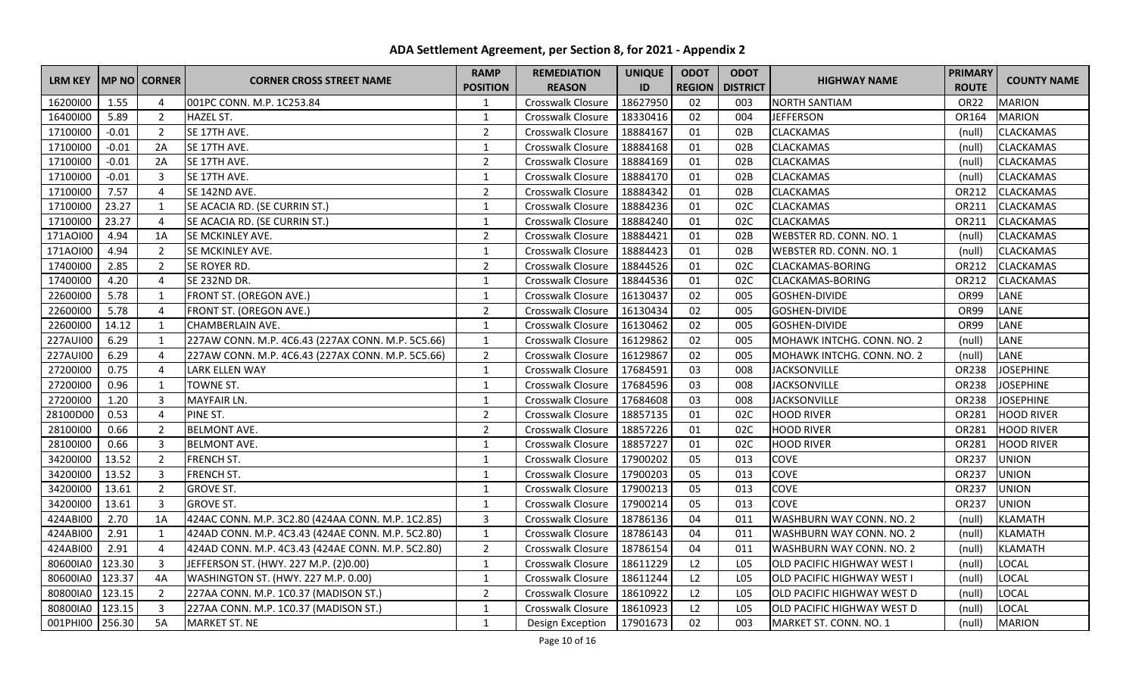| <b>LRM KEY</b>  |         | <b>MP NOI CORNER</b> | <b>CORNER CROSS STREET NAME</b>                   | <b>RAMP</b>     | <b>REMEDIATION</b> | <b>UNIQUE</b> | <b>ODOT</b>   | <b>ODOT</b>     | <b>HIGHWAY NAME</b>            | <b>PRIMARY</b> | <b>COUNTY NAME</b> |
|-----------------|---------|----------------------|---------------------------------------------------|-----------------|--------------------|---------------|---------------|-----------------|--------------------------------|----------------|--------------------|
|                 |         |                      |                                                   | <b>POSITION</b> | <b>REASON</b>      | ID            | <b>REGION</b> | <b>DISTRICT</b> |                                | <b>ROUTE</b>   |                    |
| 16200100        | 1.55    | $\overline{4}$       | 001PC CONN. M.P. 1C253.84                         | $\mathbf{1}$    | Crosswalk Closure  | 18627950      | 02            | 003             | <b>NORTH SANTIAM</b>           | <b>OR22</b>    | <b>MARION</b>      |
| 16400100        | 5.89    | $\overline{2}$       | <b>HAZEL ST.</b>                                  | $\mathbf{1}$    | Crosswalk Closure  | 18330416      | 02            | 004             | <b>JEFFERSON</b>               | OR164          | <b>MARION</b>      |
| 17100100        | $-0.01$ | $\overline{2}$       | SE 17TH AVE.                                      | $\mathfrak{p}$  | Crosswalk Closure  | 18884167      | 01            | 02B             | <b>CLACKAMAS</b>               | (null)         | <b>CLACKAMAS</b>   |
| 17100100        | $-0.01$ | 2A                   | SE 17TH AVE.                                      | $\mathbf{1}$    | Crosswalk Closure  | 18884168      | 01            | 02B             | <b>CLACKAMAS</b>               | (null)         | <b>CLACKAMAS</b>   |
| 17100100        | $-0.01$ | 2A                   | SE 17TH AVE.                                      | $\overline{2}$  | Crosswalk Closure  | 18884169      | 01            | 02B             | <b>CLACKAMAS</b>               | (null)         | <b>CLACKAMAS</b>   |
| 17100100        | $-0.01$ | $\overline{3}$       | SE 17TH AVE.                                      | $\mathbf{1}$    | Crosswalk Closure  | 18884170      | 01            | 02B             | <b>CLACKAMAS</b>               | (null          | <b>CLACKAMAS</b>   |
| 17100100        | 7.57    | $\overline{4}$       | SE 142ND AVE.                                     | $2^{\circ}$     | Crosswalk Closure  | 18884342      | 01            | 02B             | <b>CLACKAMAS</b>               | OR212          | <b>CLACKAMAS</b>   |
| 17100100        | 23.27   | $\mathbf{1}$         | SE ACACIA RD. (SE CURRIN ST.)                     | $\mathbf{1}$    | Crosswalk Closure  | 18884236      | 01            | 02C             | <b>CLACKAMAS</b>               | OR211          | <b>CLACKAMAS</b>   |
| 17100100        | 23.27   | $\overline{4}$       | SE ACACIA RD. (SE CURRIN ST.)                     | $\mathbf{1}$    | Crosswalk Closure  | 18884240      | 01            | 02C             | <b>CLACKAMAS</b>               | OR211          | <b>CLACKAMAS</b>   |
| 171AOI00        | 4.94    | 1A                   | SE MCKINLEY AVE.                                  | $\overline{2}$  | Crosswalk Closure  | 18884421      | 01            | 02B             | <b>WEBSTER RD. CONN. NO. 1</b> | (null)         | <b>CLACKAMAS</b>   |
| 171AOI00        | 4.94    | $\overline{2}$       | SE MCKINLEY AVE.                                  | 1               | Crosswalk Closure  | 18884423      | 01            | 02B             | WEBSTER RD. CONN. NO. 1        | (null)         | <b>CLACKAMAS</b>   |
| 17400100        | 2.85    | $\overline{2}$       | SE ROYER RD.                                      | $2^{\circ}$     | Crosswalk Closure  | 18844526      | 01            | 02C             | <b>CLACKAMAS-BORING</b>        | OR212          | <b>CLACKAMAS</b>   |
| 17400100        | 4.20    | $\overline{4}$       | SE 232ND DR.                                      | 1               | Crosswalk Closure  | 18844536      | 01            | 02C             | <b>CLACKAMAS-BORING</b>        | OR212          | <b>CLACKAMAS</b>   |
| 22600100        | 5.78    | $\mathbf{1}$         | FRONT ST. (OREGON AVE.)                           | $\mathbf{1}$    | Crosswalk Closure  | 16130437      | 02            | 005             | <b>GOSHEN-DIVIDE</b>           | OR99           | LANE               |
| 22600100        | 5.78    | $\overline{4}$       | FRONT ST. (OREGON AVE.)                           | $\overline{2}$  | Crosswalk Closure  | 16130434      | 02            | 005             | <b>GOSHEN-DIVIDE</b>           | OR99           | LANE               |
| 22600100        | 14.12   | $\mathbf{1}$         | <b>CHAMBERLAIN AVE.</b>                           | $\mathbf{1}$    | Crosswalk Closure  | 16130462      | 02            | 005             | <b>GOSHEN-DIVIDE</b>           | OR99           | LANE               |
| 227AUI00        | 6.29    | $\mathbf{1}$         | 227AW CONN. M.P. 4C6.43 (227AX CONN. M.P. 5C5.66) | $\mathbf{1}$    | Crosswalk Closure  | 16129862      | 02            | 005             | MOHAWK INTCHG. CONN. NO. 2     | (null)         | LANE               |
| 227AUI00        | 6.29    | $\overline{4}$       | 227AW CONN. M.P. 4C6.43 (227AX CONN. M.P. 5C5.66) | $\overline{2}$  | Crosswalk Closure  | 16129867      | 02            | 005             | MOHAWK INTCHG. CONN. NO. 2     | (null)         | LANE               |
| 27200100        | 0.75    | $\overline{4}$       | LARK ELLEN WAY                                    | $\mathbf{1}$    | Crosswalk Closure  | 17684591      | 03            | 008             | <b>JACKSONVILLE</b>            | OR238          | <b>JOSEPHINE</b>   |
| 27200100        | 0.96    | $\mathbf{1}$         | TOWNE ST.                                         | $\mathbf{1}$    | Crosswalk Closure  | 17684596      | 03            | 008             | <b>JACKSONVILLE</b>            | OR238          | <b>JOSEPHINE</b>   |
| 27200100        | 1.20    | $\overline{3}$       | MAYFAIR LN.                                       | $\mathbf{1}$    | Crosswalk Closure  | 17684608      | 03            | 008             | <b>JACKSONVILLE</b>            | OR238          | <b>JOSEPHINE</b>   |
| 28100D00        | 0.53    | $\overline{4}$       | PINE ST.                                          | $\overline{2}$  | Crosswalk Closure  | 18857135      | 01            | 02C             | <b>HOOD RIVER</b>              | OR281          | <b>HOOD RIVER</b>  |
| 28100100        | 0.66    | $\overline{2}$       | <b>BELMONT AVE.</b>                               | $2^{\circ}$     | Crosswalk Closure  | 18857226      | 01            | 02C             | <b>HOOD RIVER</b>              | OR281          | <b>HOOD RIVER</b>  |
| 28100100        | 0.66    | $\overline{3}$       | <b>BELMONT AVE.</b>                               | $\mathbf{1}$    | Crosswalk Closure  | 18857227      | 01            | 02C             | <b>HOOD RIVER</b>              | OR281          | <b>HOOD RIVER</b>  |
| 34200100        | 13.52   | $\overline{2}$       | FRENCH ST.                                        | $\mathbf{1}$    | Crosswalk Closure  | 17900202      | 05            | 013             | <b>COVE</b>                    | OR237          | <b>UNION</b>       |
| 34200100        | 13.52   | $\overline{3}$       | FRENCH ST.                                        | $\mathbf{1}$    | Crosswalk Closure  | 17900203      | 05            | 013             | COVE                           | OR237          | <b>UNION</b>       |
| 34200100        | 13.61   | $\overline{2}$       | <b>GROVE ST.</b>                                  | $\mathbf{1}$    | Crosswalk Closure  | 17900213      | 05            | 013             | COVE                           | OR237          | <b>UNION</b>       |
| 34200100        | 13.61   | $\overline{3}$       | <b>GROVE ST.</b>                                  | $\mathbf{1}$    | Crosswalk Closure  | 17900214      | 05            | 013             | <b>COVE</b>                    | OR237          | <b>UNION</b>       |
| 424ABI00        | 2.70    | 1A                   | 424AC CONN. M.P. 3C2.80 (424AA CONN. M.P. 1C2.85) | 3               | Crosswalk Closure  | 18786136      | 04            | 011             | WASHBURN WAY CONN. NO. 2       | (null)         | <b>KLAMATH</b>     |
| 424ABI00        | 2.91    | $\mathbf{1}$         | 424AD CONN. M.P. 4C3.43 (424AE CONN. M.P. 5C2.80) | $\mathbf{1}$    | Crosswalk Closure  | 18786143      | 04            | 011             | WASHBURN WAY CONN. NO. 2       | (null)         | <b>KLAMATH</b>     |
| 424ABI00        | 2.91    | $\overline{4}$       | 424AD CONN. M.P. 4C3.43 (424AE CONN. M.P. 5C2.80) | $\overline{2}$  | Crosswalk Closure  | 18786154      | 04            | 011             | WASHBURN WAY CONN. NO. 2       | (null)         | <b>KLAMATH</b>     |
| 80600IA0        | 123.30  | $\overline{3}$       | JEFFERSON ST. (HWY. 227 M.P. (2)0.00)             | $\mathbf{1}$    | Crosswalk Closure  | 18611229      | L2            | L05             | OLD PACIFIC HIGHWAY WEST I     | (null)         | LOCAL              |
| 80600IA0        | 123.37  | 4A                   | WASHINGTON ST. (HWY. 227 M.P. 0.00)               | $\mathbf{1}$    | Crosswalk Closure  | 18611244      | L2            | L05             | OLD PACIFIC HIGHWAY WEST I     | (null)         | <b>LOCAL</b>       |
| 80800IA0        | 123.15  | $\overline{2}$       | 227AA CONN. M.P. 1C0.37 (MADISON ST.)             | $\overline{2}$  | Crosswalk Closure  | 18610922      | L2            | LO5             | OLD PACIFIC HIGHWAY WEST D     | (null)         | LOCAL              |
| 80800IA0        | 123.15  | $\overline{3}$       | 227AA CONN. M.P. 1C0.37 (MADISON ST.)             | $\mathbf{1}$    | Crosswalk Closure  | 18610923      | L2            | L <sub>05</sub> | OLD PACIFIC HIGHWAY WEST D     | (null)         | LOCAL              |
| 001PHI00 256.30 |         | 5A                   | MARKET ST. NE                                     | 1               | Design Exception   | 17901673      | 02            | 003             | MARKET ST. CONN. NO. 1         | (null)         | <b>MARION</b>      |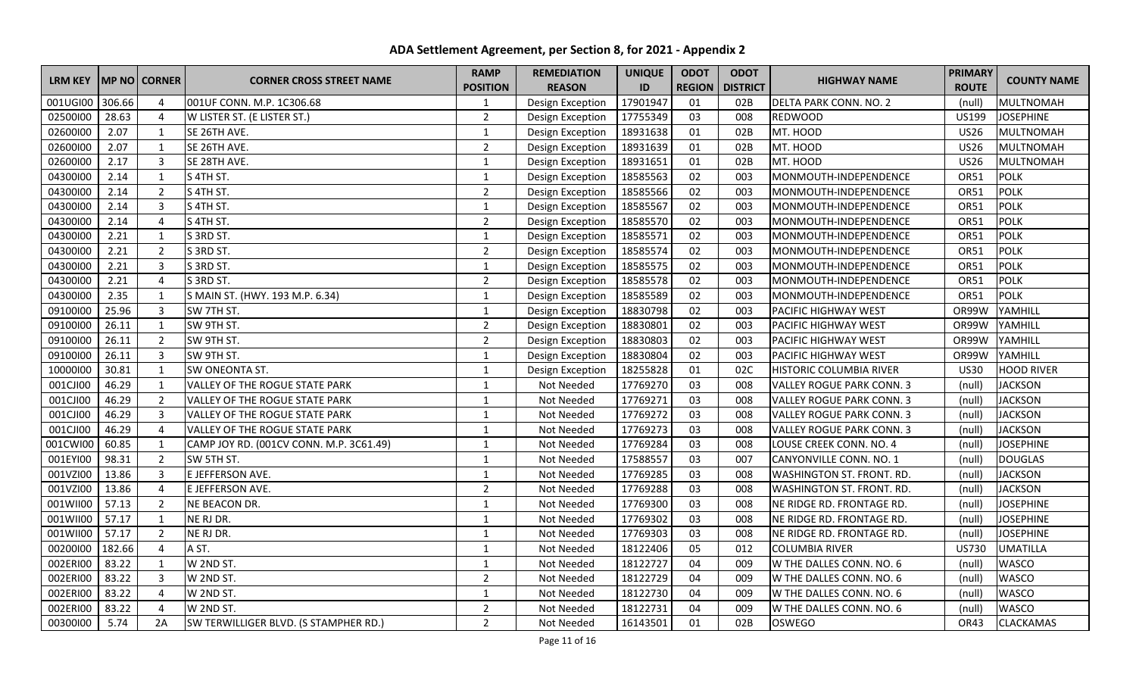| <b>LRM KEY</b> |        | <b>IMP NOI CORNER</b> | <b>CORNER CROSS STREET NAME</b>         | <b>RAMP</b>     | <b>REMEDIATION</b>      | <b>UNIQUE</b> | <b>ODOT</b>   | <b>ODOT</b>     | <b>HIGHWAY NAME</b>              | <b>PRIMARY</b> | <b>COUNTY NAME</b> |
|----------------|--------|-----------------------|-----------------------------------------|-----------------|-------------------------|---------------|---------------|-----------------|----------------------------------|----------------|--------------------|
|                |        |                       |                                         | <b>POSITION</b> | <b>REASON</b>           | ID            | <b>REGION</b> | <b>DISTRICT</b> |                                  | <b>ROUTE</b>   |                    |
| 001UGI00       | 306.66 | $\overline{4}$        | 001UF CONN. M.P. 1C306.68               | 1               | Design Exception        | 17901947      | 01            | 02B             | <b>DELTA PARK CONN. NO. 2</b>    | (null)         | <b>MULTNOMAH</b>   |
| 02500100       | 28.63  | $\overline{4}$        | W LISTER ST. (E LISTER ST.)             | $\overline{2}$  | Design Exception        | 17755349      | 03            | 008             | <b>REDWOOD</b>                   | US199          | <b>JOSEPHINE</b>   |
| 02600100       | 2.07   | $\mathbf{1}$          | SE 26TH AVE.                            | $\mathbf{1}$    | Design Exception        | 18931638      | 01            | 02B             | MT. HOOD                         | <b>US26</b>    | MULTNOMAH          |
| 02600100       | 2.07   | $\mathbf{1}$          | SE 26TH AVE.                            | $\overline{2}$  | Design Exception        | 18931639      | 01            | 02B             | MT. HOOD                         | <b>US26</b>    | MULTNOMAH          |
| 02600100       | 2.17   | $\overline{3}$        | SE 28TH AVE.                            | $\mathbf{1}$    | Design Exception        | 18931651      | 01            | 02B             | MT. HOOD                         | <b>US26</b>    | MULTNOMAH          |
| 04300100       | 2.14   | $\mathbf{1}$          | S 4TH ST.                               | $\mathbf{1}$    | Design Exception        | 18585563      | 02            | 003             | MONMOUTH-INDEPENDENCE            | OR51           | <b>POLK</b>        |
| 04300100       | 2.14   | $\overline{2}$        | S 4TH ST.                               | $\overline{2}$  | Design Exception        | 18585566      | 02            | 003             | MONMOUTH-INDEPENDENCE            | <b>OR51</b>    | <b>POLK</b>        |
| 04300100       | 2.14   | $\overline{3}$        | S 4TH ST.                               | $\mathbf{1}$    | <b>Design Exception</b> | 18585567      | 02            | 003             | MONMOUTH-INDEPENDENCE            | <b>OR51</b>    | <b>POLK</b>        |
| 04300100       | 2.14   | $\overline{4}$        | S 4TH ST.                               | $\overline{2}$  | Design Exception        | 18585570      | 02            | 003             | MONMOUTH-INDEPENDENCE            | OR51           | <b>POLK</b>        |
| 04300100       | 2.21   | $\mathbf{1}$          | S 3RD ST.                               | $\mathbf{1}$    | Design Exception        | 18585571      | 02            | 003             | MONMOUTH-INDEPENDENCE            | OR51           | <b>POLK</b>        |
| 04300100       | 2.21   | $\overline{2}$        | S 3RD ST.                               | $\overline{2}$  | <b>Design Exception</b> | 18585574      | 02            | 003             | MONMOUTH-INDEPENDENCE            | OR51           | <b>POLK</b>        |
| 04300100       | 2.21   | $\overline{3}$        | S 3RD ST.                               | $\mathbf{1}$    | Design Exception        | 18585575      | 02            | 003             | MONMOUTH-INDEPENDENCE            | OR51           | <b>POLK</b>        |
| 04300100       | 2.21   | $\overline{4}$        | S 3RD ST.                               | $\overline{2}$  | Design Exception        | 18585578      | 02            | 003             | MONMOUTH-INDEPENDENCE            | OR51           | <b>POLK</b>        |
| 04300100       | 2.35   | $\mathbf{1}$          | S MAIN ST. (HWY. 193 M.P. 6.34)         | 1               | Design Exception        | 18585589      | 02            | 003             | MONMOUTH-INDEPENDENCE            | OR51           | <b>POLK</b>        |
| 09100100       | 25.96  | $\overline{3}$        | SW 7TH ST.                              | $\mathbf{1}$    | Design Exception        | 18830798      | 02            | 003             | PACIFIC HIGHWAY WEST             | OR99W          | YAMHILL            |
| 09100100       | 26.11  | $\mathbf{1}$          | SW 9TH ST.                              | $\overline{2}$  | Design Exception        | 18830801      | 02            | 003             | <b>PACIFIC HIGHWAY WEST</b>      | OR99W          | YAMHILL            |
| 09100100       | 26.11  | $\overline{2}$        | SW 9TH ST.                              | $\overline{2}$  | Design Exception        | 18830803      | 02            | 003             | PACIFIC HIGHWAY WEST             | OR99W          | YAMHILL            |
| 09100100       | 26.11  | $\overline{3}$        | SW 9TH ST.                              | 1               | Design Exception        | 18830804      | 02            | 003             | PACIFIC HIGHWAY WEST             | OR99W          | YAMHILL            |
| 10000100       | 30.81  | $\mathbf{1}$          | SW ONEONTA ST.                          | $\mathbf{1}$    | Design Exception        | 18255828      | 01            | 02C             | <b>HISTORIC COLUMBIA RIVER</b>   | <b>US30</b>    | <b>HOOD RIVER</b>  |
| 001CJI00       | 46.29  | $\mathbf{1}$          | VALLEY OF THE ROGUE STATE PARK          | 1               | Not Needed              | 17769270      | 03            | 008             | <b>VALLEY ROGUE PARK CONN. 3</b> | (null)         | <b>JACKSON</b>     |
| 001CJI00       | 46.29  | $\overline{2}$        | VALLEY OF THE ROGUE STATE PARK          | $\mathbf{1}$    | Not Needed              | 17769271      | 03            | 008             | VALLEY ROGUE PARK CONN. 3        | (null)         | <b>JACKSON</b>     |
| 001CJI00       | 46.29  | $\overline{3}$        | VALLEY OF THE ROGUE STATE PARK          | $\mathbf{1}$    | Not Needed              | 17769272      | 03            | 008             | <b>VALLEY ROGUE PARK CONN. 3</b> | (null          | <b>JACKSON</b>     |
| 001CJI00       | 46.29  | $\overline{4}$        | VALLEY OF THE ROGUE STATE PARK          | $\mathbf{1}$    | Not Needed              | 17769273      | 03            | 008             | <b>VALLEY ROGUE PARK CONN. 3</b> | (null)         | <b>JACKSON</b>     |
| 001CWI00       | 60.85  | $\mathbf{1}$          | CAMP JOY RD. (001CV CONN. M.P. 3C61.49) | $\mathbf{1}$    | Not Needed              | 17769284      | 03            | 008             | LOUSE CREEK CONN. NO. 4          | (null          | <b>JOSEPHINE</b>   |
| 001EYI00       | 98.31  | $\overline{2}$        | SW 5TH ST.                              | $\mathbf{1}$    | Not Needed              | 17588557      | 03            | 007             | <b>CANYONVILLE CONN. NO. 1</b>   | (null          | <b>DOUGLAS</b>     |
| 001VZI00       | 13.86  | 3                     | E JEFFERSON AVE.                        | -1              | Not Needed              | 17769285      | 03            | 008             | WASHINGTON ST. FRONT. RD.        | (null          | <b>JACKSON</b>     |
| 001VZI00       | 13.86  | $\overline{4}$        | E JEFFERSON AVE.                        | $\overline{2}$  | Not Needed              | 17769288      | 03            | 008             | WASHINGTON ST. FRONT. RD.        | (null          | <b>JACKSON</b>     |
| 001WII00       | 57.13  | $\overline{2}$        | NE BEACON DR.                           | $\mathbf{1}$    | Not Needed              | 17769300      | 03            | 008             | NE RIDGE RD. FRONTAGE RD.        | (null          | <b>JOSEPHINE</b>   |
| 001WII00       | 57.17  | $\mathbf{1}$          | NE RJ DR.                               | 1               | Not Needed              | 17769302      | 03            | 008             | NE RIDGE RD. FRONTAGE RD.        | (null          | <b>JOSEPHINE</b>   |
| 001WII00       | 57.17  | $\overline{2}$        | NE RJ DR.                               | $\mathbf{1}$    | Not Needed              | 17769303      | 03            | 008             | NE RIDGE RD. FRONTAGE RD.        | (null          | <b>JOSEPHINE</b>   |
| 00200100       | 182.66 | $\overline{4}$        | A ST.                                   | $\mathbf{1}$    | Not Needed              | 18122406      | 05            | 012             | <b>COLUMBIA RIVER</b>            | <b>US730</b>   | <b>UMATILLA</b>    |
| 002ERI00       | 83.22  | $\mathbf{1}$          | W 2ND ST.                               | $\mathbf{1}$    | Not Needed              | 18122727      | 04            | 009             | W THE DALLES CONN. NO. 6         | (null)         | <b>WASCO</b>       |
| 002ERI00       | 83.22  | 3                     | W 2ND ST.                               | $\mathfrak{p}$  | Not Needed              | 18122729      | 04            | 009             | W THE DALLES CONN. NO. 6         | (null)         | <b>WASCO</b>       |
| 002ERI00       | 83.22  | $\overline{4}$        | W 2ND ST.                               | $\mathbf{1}$    | Not Needed              | 18122730      | 04            | 009             | W THE DALLES CONN. NO. 6         | (null)         | <b>WASCO</b>       |
| 002ERI00       | 83.22  | 4                     | W 2ND ST.                               | $\mathfrak{p}$  | Not Needed              | 18122731      | 04            | 009             | W THE DALLES CONN. NO. 6         | (null)         | <b>WASCO</b>       |
| 00300100       | 5.74   | 2A                    | SW TERWILLIGER BLVD. (S STAMPHER RD.)   | $\overline{2}$  | Not Needed              | 16143501      | 01            | 02B             | <b>OSWEGO</b>                    | OR43           | <b>CLACKAMAS</b>   |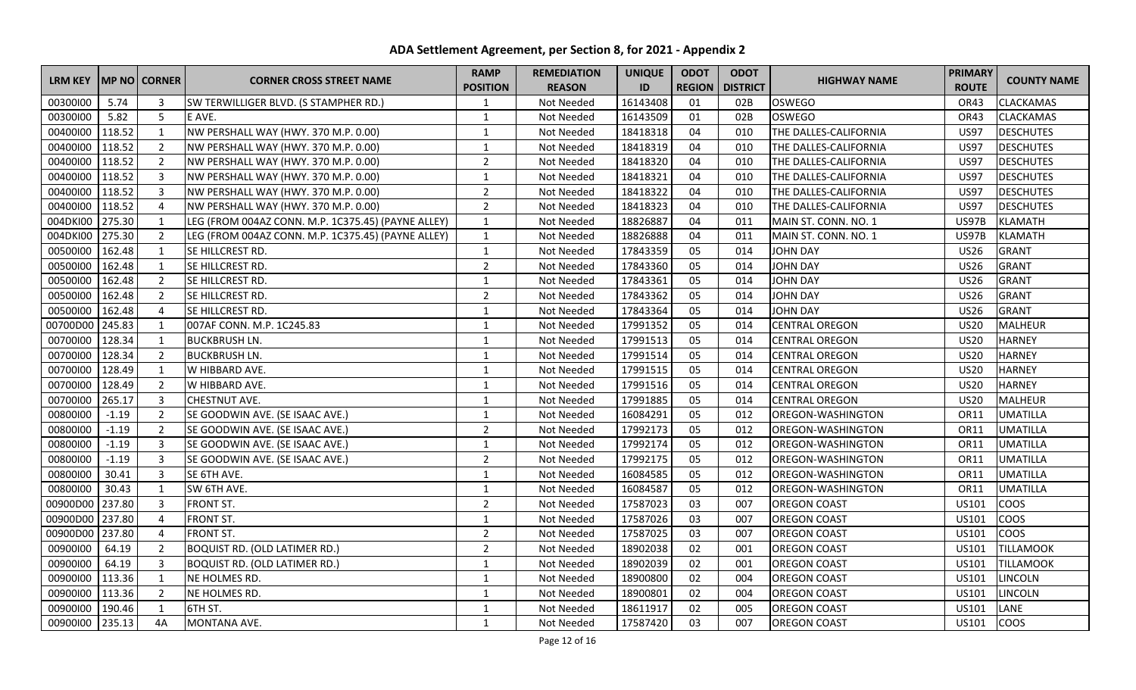| <b>LRM KEY</b> |         | <b>MP NOI CORNER</b> | <b>CORNER CROSS STREET NAME</b>                    | <b>RAMP</b>     | <b>REMEDIATION</b> | <b>UNIQUE</b> | <b>ODOT</b>   | <b>ODOT</b>     | <b>HIGHWAY NAME</b>   | <b>PRIMARY</b> | <b>COUNTY NAME</b> |
|----------------|---------|----------------------|----------------------------------------------------|-----------------|--------------------|---------------|---------------|-----------------|-----------------------|----------------|--------------------|
|                |         |                      |                                                    | <b>POSITION</b> | <b>REASON</b>      | ID            | <b>REGION</b> | <b>DISTRICT</b> |                       | <b>ROUTE</b>   |                    |
| 00300100       | 5.74    | $\overline{3}$       | SW TERWILLIGER BLVD. (S STAMPHER RD.)              | $\mathbf{1}$    | Not Needed         | 16143408      | 01            | 02B             | <b>OSWEGO</b>         | OR43           | <b>CLACKAMAS</b>   |
| 00300100       | 5.82    | $5\phantom{.}$       | E AVE.                                             | $\overline{1}$  | Not Needed         | 16143509      | 01            | 02B             | <b>OSWEGO</b>         | OR43           | <b>CLACKAMAS</b>   |
| 00400100       | 118.52  | $\mathbf{1}$         | NW PERSHALL WAY (HWY. 370 M.P. 0.00)               | $\mathbf{1}$    | Not Needed         | 18418318      | 04            | 010             | THE DALLES-CALIFORNIA | <b>US97</b>    | <b>DESCHUTES</b>   |
| 00400100       | 118.52  | $\overline{2}$       | NW PERSHALL WAY (HWY. 370 M.P. 0.00)               | $\mathbf{1}$    | Not Needed         | 18418319      | 04            | 010             | THE DALLES-CALIFORNIA | <b>US97</b>    | <b>DESCHUTES</b>   |
| 00400100       | 118.52  | $\overline{2}$       | NW PERSHALL WAY (HWY. 370 M.P. 0.00)               | $\overline{2}$  | Not Needed         | 18418320      | 04            | 010             | THE DALLES-CALIFORNIA | <b>US97</b>    | <b>DESCHUTES</b>   |
| 00400100       | 118.52  | $\overline{3}$       | NW PERSHALL WAY (HWY. 370 M.P. 0.00)               | 1               | Not Needed         | 18418321      | 04            | 010             | THE DALLES-CALIFORNIA | <b>US97</b>    | <b>DESCHUTES</b>   |
| 00400100       | 118.52  | $\overline{3}$       | NW PERSHALL WAY (HWY. 370 M.P. 0.00)               | $\overline{2}$  | Not Needed         | 18418322      | 04            | 010             | THE DALLES-CALIFORNIA | <b>US97</b>    | <b>DESCHUTES</b>   |
| 00400100       | 118.52  | $\overline{4}$       | NW PERSHALL WAY (HWY. 370 M.P. 0.00)               | $2^{\circ}$     | Not Needed         | 18418323      | 04            | 010             | THE DALLES-CALIFORNIA | <b>US97</b>    | <b>DESCHUTES</b>   |
| 004DKI00       | 275.30  | $\mathbf{1}$         | LEG (FROM 004AZ CONN. M.P. 1C375.45) (PAYNE ALLEY) | 1               | Not Needed         | 18826887      | 04            | 011             | MAIN ST. CONN. NO. 1  | <b>US97B</b>   | <b>KLAMATH</b>     |
| 004DKI00       | 275.30  | $\overline{2}$       | LEG (FROM 004AZ CONN. M.P. 1C375.45) (PAYNE ALLEY) | $\mathbf{1}$    | Not Needed         | 18826888      | 04            | 011             | MAIN ST. CONN. NO. 1  | <b>US97B</b>   | <b>KLAMATH</b>     |
| 00500100       | 162.48  | $\mathbf{1}$         | SE HILLCREST RD.                                   | $\mathbf{1}$    | Not Needed         | 17843359      | 05            | 014             | <b>JOHN DAY</b>       | <b>US26</b>    | <b>GRANT</b>       |
| 00500100       | 162.48  | $\mathbf{1}$         | SE HILLCREST RD.                                   | $\overline{2}$  | Not Needed         | 17843360      | 05            | 014             | <b>JOHN DAY</b>       | <b>US26</b>    | <b>GRANT</b>       |
| 00500100       | 162.48  | $\overline{2}$       | SE HILLCREST RD.                                   | $\mathbf{1}$    | Not Needed         | 17843361      | 05            | 014             | <b>JOHN DAY</b>       | <b>US26</b>    | <b>GRANT</b>       |
| 00500100       | 162.48  | $\overline{2}$       | SE HILLCREST RD.                                   | $\overline{2}$  | Not Needed         | 17843362      | 05            | 014             | <b>JOHN DAY</b>       | <b>US26</b>    | <b>GRANT</b>       |
| 00500100       | 162.48  | $\overline{4}$       | SE HILLCREST RD.                                   | $\mathbf{1}$    | Not Needed         | 17843364      | 05            | 014             | <b>JOHN DAY</b>       | <b>US26</b>    | <b>GRANT</b>       |
| 00700D00       | 245.83  | $\mathbf{1}$         | 007AF CONN. M.P. 1C245.83                          | $\mathbf{1}$    | Not Needed         | 17991352      | 05            | 014             | <b>CENTRAL OREGON</b> | <b>US20</b>    | <b>MALHEUR</b>     |
| 00700100       | 128.34  | $\mathbf{1}$         | <b>BUCKBRUSH LN.</b>                               | $\mathbf{1}$    | Not Needed         | 17991513      | 05            | 014             | <b>CENTRAL OREGON</b> | <b>US20</b>    | <b>HARNEY</b>      |
| 00700100       | 128.34  | $\overline{2}$       | <b>BUCKBRUSH LN.</b>                               | 1               | Not Needed         | 17991514      | 05            | 014             | <b>CENTRAL OREGON</b> | <b>US20</b>    | <b>HARNEY</b>      |
| 00700100       | 128.49  | $\mathbf{1}$         | W HIBBARD AVE.                                     | $\mathbf{1}$    | Not Needed         | 17991515      | 05            | 014             | <b>CENTRAL OREGON</b> | <b>US20</b>    | <b>HARNEY</b>      |
| 00700100       | 128.49  | 2                    | W HIBBARD AVE.                                     | 1               | Not Needed         | 17991516      | 05            | 014             | <b>CENTRAL OREGON</b> | <b>US20</b>    | <b>HARNEY</b>      |
| 00700100       | 265.17  | 3                    | CHESTNUT AVE.                                      | $\mathbf{1}$    | Not Needed         | 17991885      | 05            | 014             | <b>CENTRAL OREGON</b> | <b>US20</b>    | <b>MALHEUR</b>     |
| 00800100       | $-1.19$ | $\overline{2}$       | SE GOODWIN AVE. (SE ISAAC AVE.)                    | $\mathbf{1}$    | Not Needed         | 16084291      | 05            | 012             | OREGON-WASHINGTON     | OR11           | <b>UMATILLA</b>    |
| 00800100       | $-1.19$ | $\overline{2}$       | SE GOODWIN AVE. (SE ISAAC AVE.)                    | $\overline{2}$  | Not Needed         | 17992173      | 05            | 012             | OREGON-WASHINGTON     | OR11           | <b>UMATILLA</b>    |
| 00800100       | $-1.19$ | $\overline{3}$       | SE GOODWIN AVE. (SE ISAAC AVE.)                    | 1               | Not Needed         | 17992174      | 05            | 012             | OREGON-WASHINGTON     | OR11           | <b>UMATILLA</b>    |
| 00800100       | $-1.19$ | $\overline{3}$       | SE GOODWIN AVE. (SE ISAAC AVE.)                    | $\overline{2}$  | Not Needed         | 17992175      | 05            | 012             | OREGON-WASHINGTON     | OR11           | <b>UMATILLA</b>    |
| 00800100       | 30.41   | $\overline{3}$       | SE 6TH AVE.                                        | $\mathbf{1}$    | Not Needed         | 16084585      | 05            | 012             | OREGON-WASHINGTON     | OR11           | <b>UMATILLA</b>    |
| 00800100       | 30.43   | $\mathbf{1}$         | SW 6TH AVE.                                        | 1               | Not Needed         | 16084587      | 05            | 012             | OREGON-WASHINGTON     | OR11           | <b>UMATILLA</b>    |
| 00900D00       | 237.80  | $\overline{3}$       | <b>FRONT ST.</b>                                   | $\overline{2}$  | Not Needed         | 17587023      | 03            | 007             | <b>OREGON COAST</b>   | US101          | <b>COOS</b>        |
| 00900D00       | 237.80  | $\overline{4}$       | <b>FRONT ST.</b>                                   | 1               | Not Needed         | 17587026      | 03            | 007             | <b>OREGON COAST</b>   | US101          | <b>COOS</b>        |
| 00900D00       | 237.80  | $\overline{4}$       | <b>FRONT ST.</b>                                   | $\overline{2}$  | Not Needed         | 17587025      | 03            | 007             | <b>OREGON COAST</b>   | US101          | <b>COOS</b>        |
| 00900100       | 64.19   | $\overline{2}$       | <b>BOQUIST RD. (OLD LATIMER RD.)</b>               | $\overline{2}$  | Not Needed         | 18902038      | 02            | 001             | <b>OREGON COAST</b>   | US101          | <b>TILLAMOOK</b>   |
| 00900100       | 64.19   | $\overline{3}$       | <b>BOQUIST RD. (OLD LATIMER RD.)</b>               | $\mathbf{1}$    | Not Needed         | 18902039      | 02            | 001             | <b>OREGON COAST</b>   | US101          | <b>TILLAMOOK</b>   |
| 00900100       | 113.36  | $\mathbf{1}$         | NE HOLMES RD.                                      | 1               | Not Needed         | 18900800      | 02            | 004             | <b>OREGON COAST</b>   | US101          | <b>LINCOLN</b>     |
| 00900100       | 113.36  | $\overline{2}$       | NE HOLMES RD.                                      | $\mathbf{1}$    | Not Needed         | 18900801      | 02            | 004             | <b>OREGON COAST</b>   | US101          | <b>LINCOLN</b>     |
| 00900100       | 190.46  | 1                    | 6TH ST.                                            | 1               | Not Needed         | 18611917      | 02            | 005             | <b>OREGON COAST</b>   | US101          | LANE               |
| 00900100       | 235.13  | 4A                   | MONTANA AVE.                                       | $\mathbf{1}$    | Not Needed         | 17587420      | 03            | 007             | <b>OREGON COAST</b>   | US101          | coos               |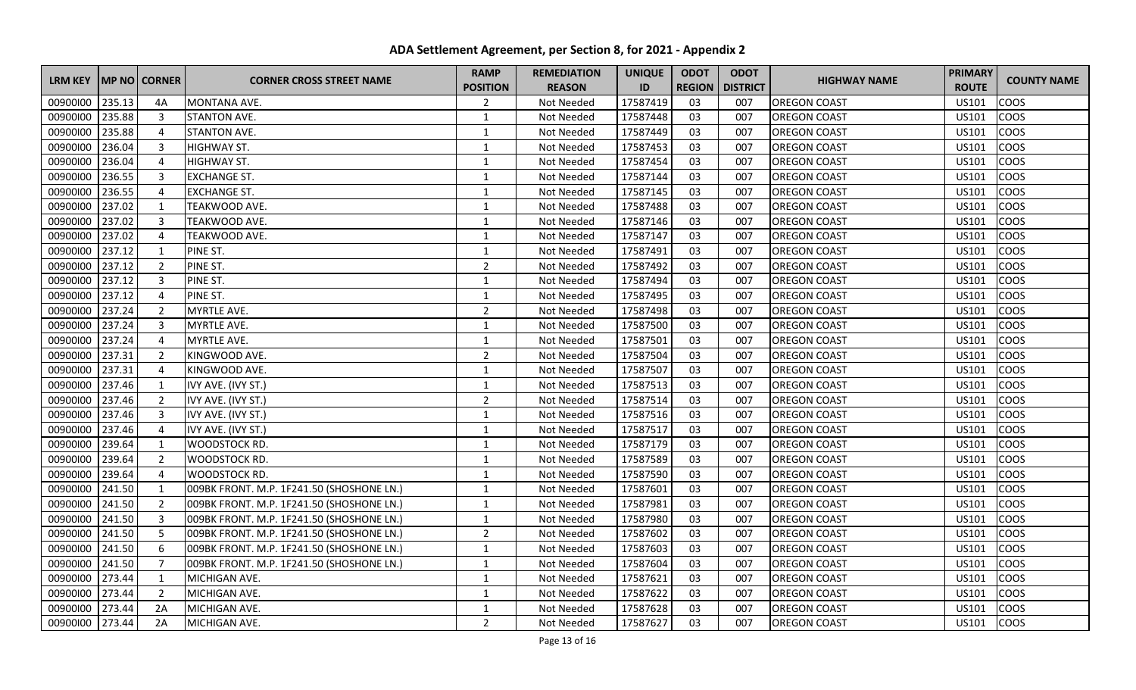|                |        |                         |                                           | <b>RAMP</b>             | <b>REMEDIATION</b> | <b>UNIQUE</b> | <b>ODOT</b>   | <b>ODOT</b>     |                     | <b>PRIMARY</b> |                    |
|----------------|--------|-------------------------|-------------------------------------------|-------------------------|--------------------|---------------|---------------|-----------------|---------------------|----------------|--------------------|
| <b>LRM KEY</b> |        | <b>IMP NOI CORNER</b>   | <b>CORNER CROSS STREET NAME</b>           | <b>POSITION</b>         | <b>REASON</b>      | ID            | <b>REGION</b> | <b>DISTRICT</b> | <b>HIGHWAY NAME</b> | <b>ROUTE</b>   | <b>COUNTY NAME</b> |
| 00900100       | 235.13 | 4A                      | MONTANA AVE.                              | $\mathcal{P}$           | Not Needed         | 17587419      | 03            | 007             | <b>OREGON COAST</b> | US101          | <b>COOS</b>        |
| 00900100       | 235.88 | $\overline{3}$          | <b>STANTON AVE.</b>                       | $\overline{1}$          | Not Needed         | 17587448      | 03            | 007             | <b>OREGON COAST</b> | US101          | coos               |
| 00900100       | 235.88 | $\overline{a}$          | <b>STANTON AVE.</b>                       | $\mathbf 1$             | Not Needed         | 17587449      | 03            | 007             | <b>OREGON COAST</b> | US101          | <b>COOS</b>        |
| 00900100       | 236.04 | $\overline{3}$          | HIGHWAY ST.                               | $\overline{1}$          | Not Needed         | 17587453      | 03            | 007             | <b>OREGON COAST</b> | US101          | <b>COOS</b>        |
| 00900100       | 236.04 | $\overline{4}$          | <b>HIGHWAY ST.</b>                        | $\mathbf{1}$            | Not Needed         | 17587454      | 03            | 007             | <b>OREGON COAST</b> | US101          | <b>COOS</b>        |
| 00900100       | 236.55 | $\overline{\mathbf{3}}$ | <b>EXCHANGE ST.</b>                       | $\mathbf{1}$            | Not Needed         | 17587144      | 03            | 007             | <b>OREGON COAST</b> | US101          | coos               |
| 00900100       | 236.55 | $\overline{4}$          | <b>EXCHANGE ST.</b>                       | $\overline{\mathbf{1}}$ | Not Needed         | 17587145      | 03            | 007             | <b>OREGON COAST</b> | US101          | <b>COOS</b>        |
| 00900100       | 237.02 | $\mathbf{1}$            | <b>TEAKWOOD AVE.</b>                      | $\overline{1}$          | Not Needed         | 17587488      | 03            | 007             | <b>OREGON COAST</b> | US101          | <b>COOS</b>        |
| 00900100       | 237.02 | $\overline{3}$          | <b>TEAKWOOD AVE.</b>                      | $\overline{\mathbf{1}}$ | Not Needed         | 17587146      | 03            | 007             | <b>OREGON COAST</b> | US101          | <b>COOS</b>        |
| 00900100       | 237.02 | $\overline{4}$          | <b>TEAKWOOD AVE.</b>                      | $\mathbf{1}$            | Not Needed         | 17587147      | 03            | 007             | <b>OREGON COAST</b> | US101          | COOS               |
| 00900100       | 237.12 | $\mathbf{1}$            | PINE ST.                                  | $\overline{1}$          | Not Needed         | 17587491      | 03            | 007             | <b>OREGON COAST</b> | US101          | COOS               |
| 00900100       | 237.12 | $\overline{2}$          | PINE ST.                                  | $\overline{2}$          | Not Needed         | 17587492      | 03            | 007             | <b>OREGON COAST</b> | US101          | COOS               |
| 00900100       | 237.12 | 3                       | PINE ST.                                  | $\mathbf{1}$            | Not Needed         | 17587494      | 03            | 007             | <b>OREGON COAST</b> | US101          | COOS               |
| 00900100       | 237.12 | $\overline{4}$          | PINE ST.                                  | $\mathbf 1$             | Not Needed         | 17587495      | 03            | 007             | <b>OREGON COAST</b> | US101          | COOS               |
| 00900100       | 237.24 | $\overline{2}$          | MYRTLE AVE.                               | $\overline{2}$          | Not Needed         | 17587498      | 03            | 007             | <b>OREGON COAST</b> | US101          | COOS               |
| 00900100       | 237.24 | $\overline{3}$          | MYRTLE AVE.                               | $\overline{1}$          | Not Needed         | 17587500      | 03            | 007             | <b>OREGON COAST</b> | US101          | <b>COOS</b>        |
| 00900100       | 237.24 | $\overline{4}$          | MYRTLE AVE.                               | $\overline{1}$          | Not Needed         | 17587501      | 03            | 007             | <b>OREGON COAST</b> | US101          | COOS               |
| 00900100       | 237.31 | $\overline{2}$          | KINGWOOD AVE.                             | $\overline{2}$          | Not Needed         | 17587504      | 03            | 007             | <b>OREGON COAST</b> | US101          | COOS               |
| 00900100       | 237.31 | $\overline{4}$          | KINGWOOD AVE.                             | $\overline{1}$          | Not Needed         | 17587507      | 03            | 007             | <b>OREGON COAST</b> | US101          | COOS               |
| 00900100       | 237.46 | $\mathbf{1}$            | IVY AVE. (IVY ST.)                        | $\mathbf{1}$            | Not Needed         | 17587513      | 03            | 007             | <b>OREGON COAST</b> | US101          | COOS               |
| 00900100       | 237.46 | $\overline{2}$          | IVY AVE. (IVY ST.)                        | $\overline{2}$          | Not Needed         | 17587514      | 03            | 007             | <b>OREGON COAST</b> | US101          | COOS               |
| 00900100       | 237.46 | $\overline{3}$          | IVY AVE. (IVY ST.)                        | $\mathbf{1}$            | Not Needed         | 17587516      | 03            | 007             | <b>OREGON COAST</b> | US101          | COOS               |
| 00900100       | 237.46 | $\overline{4}$          | IVY AVE. (IVY ST.)                        | $\mathbf{1}$            | Not Needed         | 17587517      | 03            | 007             | <b>OREGON COAST</b> | US101          | COOS               |
| 00900100       | 239.64 | $\mathbf{1}$            | <b>WOODSTOCK RD.</b>                      | $\overline{\mathbf{1}}$ | Not Needed         | 17587179      | 03            | 007             | <b>OREGON COAST</b> | US101          | COOS               |
| 00900100       | 239.64 | $\overline{2}$          | <b>WOODSTOCK RD.</b>                      | -1                      | Not Needed         | 17587589      | 03            | 007             | <b>OREGON COAST</b> | US101          | COOS               |
| 00900100       | 239.64 | $\overline{4}$          | <b>WOODSTOCK RD.</b>                      | $\overline{\mathbf{1}}$ | Not Needed         | 17587590      | 03            | 007             | <b>OREGON COAST</b> | US101          | COOS               |
| 00900100       | 241.50 | $\mathbf{1}$            | 009BK FRONT. M.P. 1F241.50 (SHOSHONE LN.) | $\overline{1}$          | Not Needed         | 17587601      | 03            | 007             | <b>OREGON COAST</b> | US101          | COOS               |
| 00900100       | 241.50 | $\overline{2}$          | 009BK FRONT. M.P. 1F241.50 (SHOSHONE LN.) | $\overline{\mathbf{1}}$ | Not Needed         | 17587981      | 03            | 007             | <b>OREGON COAST</b> | US101          | COOS               |
| 00900100       | 241.50 | $\overline{\mathbf{3}}$ | 009BK FRONT. M.P. 1F241.50 (SHOSHONE LN.) | $\mathbf 1$             | Not Needed         | 17587980      | 03            | 007             | <b>OREGON COAST</b> | US101          | COOS               |
| 00900100       | 241.50 | 5                       | 009BK FRONT. M.P. 1F241.50 (SHOSHONE LN.) | $\overline{2}$          | Not Needed         | 17587602      | 03            | 007             | <b>OREGON COAST</b> | US101          | COOS               |
| 00900100       | 241.50 | 6                       | 009BK FRONT. M.P. 1F241.50 (SHOSHONE LN.) | $\overline{\mathbf{1}}$ | Not Needed         | 17587603      | 03            | 007             | <b>OREGON COAST</b> | US101          | COOS               |
| 00900100       | 241.50 | $\overline{7}$          | 009BK FRONT. M.P. 1F241.50 (SHOSHONE LN.) | $\overline{1}$          | Not Needed         | 17587604      | 03            | 007             | <b>OREGON COAST</b> | US101          | COOS               |
| 00900100       | 273.44 | $\mathbf{1}$            | MICHIGAN AVE.                             | $\overline{1}$          | Not Needed         | 17587621      | 03            | 007             | <b>OREGON COAST</b> | US101          | <b>COOS</b>        |
| 00900100       | 273.44 | $\overline{2}$          | MICHIGAN AVE.                             | $\overline{1}$          | Not Needed         | 17587622      | 03            | 007             | <b>OREGON COAST</b> | US101          | <b>COOS</b>        |
| 00900100       | 273.44 | 2A                      | MICHIGAN AVE.                             | $\mathbf{1}$            | Not Needed         | 17587628      | 03            | 007             | <b>OREGON COAST</b> | US101          | COOS               |
| 00900100       | 273.44 | 2A                      | MICHIGAN AVE.                             | $\overline{2}$          | Not Needed         | 17587627      | 03            | 007             | <b>OREGON COAST</b> | US101          | <b>COOS</b>        |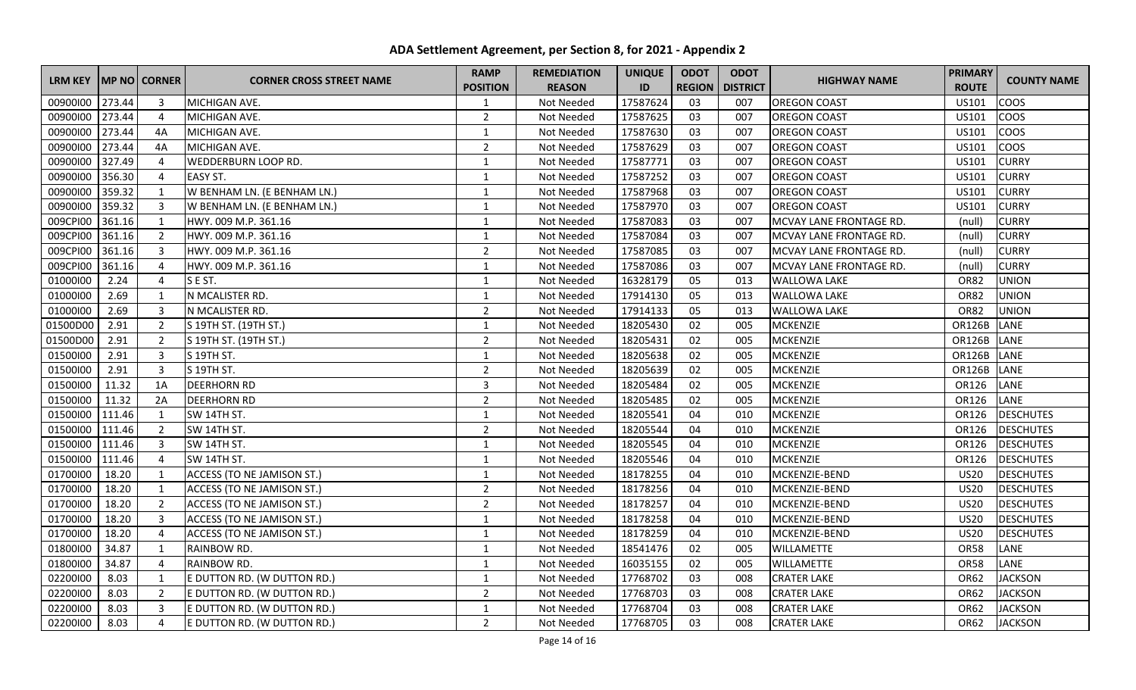| <b>LRM KEY</b> |        | <b>IMP NOI CORNER</b> | <b>CORNER CROSS STREET NAME</b> | <b>RAMP</b>     | <b>REMEDIATION</b> | <b>UNIQUE</b> | <b>ODOT</b>   | <b>ODOT</b>     | <b>HIGHWAY NAME</b>     | <b>PRIMARY</b> | <b>COUNTY NAME</b> |
|----------------|--------|-----------------------|---------------------------------|-----------------|--------------------|---------------|---------------|-----------------|-------------------------|----------------|--------------------|
|                |        |                       |                                 | <b>POSITION</b> | <b>REASON</b>      | ID            | <b>REGION</b> | <b>DISTRICT</b> |                         | <b>ROUTE</b>   |                    |
| 00900100       | 273.44 | $\overline{3}$        | MICHIGAN AVE.                   |                 | Not Needed         | 17587624      | 03            | 007             | <b>OREGON COAST</b>     | US101          | <b>COOS</b>        |
| 00900100       | 273.44 | $\overline{4}$        | MICHIGAN AVE.                   | $\mathfrak{p}$  | Not Needed         | 17587625      | 03            | 007             | <b>OREGON COAST</b>     | US101          | <b>COOS</b>        |
| 00900100       | 273.44 | 4A                    | MICHIGAN AVE.                   | $\mathbf 1$     | Not Needed         | 17587630      | 03            | 007             | <b>OREGON COAST</b>     | US101          | <b>COOS</b>        |
| 00900100       | 273.44 | 4A                    | MICHIGAN AVE.                   | $\overline{2}$  | Not Needed         | 17587629      | 03            | 007             | <b>OREGON COAST</b>     | US101          | <b>COOS</b>        |
| 00900100       | 327.49 | $\overline{4}$        | <b>WEDDERBURN LOOP RD.</b>      | $\mathbf{1}$    | Not Needed         | 17587771      | 03            | 007             | <b>OREGON COAST</b>     | US101          | <b>CURRY</b>       |
| 00900100       | 356.30 | $\overline{4}$        | <b>EASY ST.</b>                 | $\mathbf{1}$    | Not Needed         | 17587252      | 03            | 007             | <b>OREGON COAST</b>     | US101          | <b>CURRY</b>       |
| 00900100       | 359.32 | $\mathbf{1}$          | W BENHAM LN. (E BENHAM LN.)     | $\mathbf{1}$    | Not Needed         | 17587968      | 03            | 007             | <b>OREGON COAST</b>     | US101          | <b>CURRY</b>       |
| 00900100       | 359.32 | $\overline{3}$        | W BENHAM LN. (E BENHAM LN.)     | $\mathbf{1}$    | Not Needed         | 17587970      | 03            | 007             | <b>OREGON COAST</b>     | US101          | <b>CURRY</b>       |
| 009CPI00       | 361.16 | $\mathbf{1}$          | HWY. 009 M.P. 361.16            | $\mathbf{1}$    | Not Needed         | 17587083      | 03            | 007             | MCVAY LANE FRONTAGE RD. | (null)         | <b>CURRY</b>       |
| 009CPI00       | 361.16 | $\overline{2}$        | HWY. 009 M.P. 361.16            | $\mathbf{1}$    | Not Needed         | 17587084      | 03            | 007             | MCVAY LANE FRONTAGE RD. | (null)         | <b>CURRY</b>       |
| 009CPI00       | 361.16 | $\overline{3}$        | HWY. 009 M.P. 361.16            | $\overline{2}$  | Not Needed         | 17587085      | 03            | 007             | MCVAY LANE FRONTAGE RD. | (null)         | <b>CURRY</b>       |
| 009CPI00       | 361.16 | $\overline{4}$        | HWY. 009 M.P. 361.16            | $\mathbf{1}$    | Not Needed         | 17587086      | 03            | 007             | MCVAY LANE FRONTAGE RD. | (null)         | <b>CURRY</b>       |
| 01000100       | 2.24   | $\overline{4}$        | SEST.                           | $\mathbf{1}$    | Not Needed         | 16328179      | 05            | 013             | <b>WALLOWA LAKE</b>     | <b>OR82</b>    | <b>UNION</b>       |
| 01000100       | 2.69   | $\mathbf{1}$          | N MCALISTER RD.                 | 1               | Not Needed         | 17914130      | 05            | 013             | <b>WALLOWA LAKE</b>     | <b>OR82</b>    | <b>UNION</b>       |
| 01000100       | 2.69   | $\overline{3}$        | N MCALISTER RD.                 | $\overline{2}$  | Not Needed         | 17914133      | 05            | 013             | <b>WALLOWA LAKE</b>     | <b>OR82</b>    | <b>UNION</b>       |
| 01500D00       | 2.91   | $\overline{2}$        | S 19TH ST. (19TH ST.)           | $\mathbf{1}$    | Not Needed         | 18205430      | 02            | 005             | <b>MCKENZIE</b>         | <b>OR126B</b>  | LANE               |
| 01500D00       | 2.91   | $\overline{2}$        | S 19TH ST. (19TH ST.)           | $\overline{2}$  | Not Needed         | 18205431      | 02            | 005             | <b>MCKENZIE</b>         | <b>OR126B</b>  | LANE               |
| 01500100       | 2.91   | $\overline{3}$        | S 19TH ST.                      | 1               | Not Needed         | 18205638      | 02            | 005             | <b>MCKENZIE</b>         | <b>OR126B</b>  | LANE               |
| 01500100       | 2.91   | $\overline{3}$        | S 19TH ST.                      | $\overline{2}$  | Not Needed         | 18205639      | 02            | 005             | <b>MCKENZIE</b>         | <b>OR126B</b>  | LANE               |
| 01500100       | 11.32  | 1A                    | <b>DEERHORN RD</b>              | 3               | Not Needed         | 18205484      | 02            | 005             | <b>MCKENZIE</b>         | OR126          | LANE               |
| 01500100       | 11.32  | 2A                    | <b>DEERHORN RD</b>              | $\overline{2}$  | Not Needed         | 18205485      | 02            | 005             | <b>MCKENZIE</b>         | OR126          | LANE               |
| 01500100       | 111.46 | $\mathbf{1}$          | SW 14TH ST.                     | $\mathbf{1}$    | Not Needed         | 18205541      | 04            | 010             | <b>MCKENZIE</b>         | OR126          | <b>DESCHUTES</b>   |
| 01500100       | 111.46 | $\overline{2}$        | SW 14TH ST.                     | $\overline{2}$  | Not Needed         | 18205544      | 04            | 010             | <b>MCKENZIE</b>         | OR126          | <b>DESCHUTES</b>   |
| 01500100       | 111.46 | 3                     | SW 14TH ST.                     | $\mathbf{1}$    | Not Needed         | 18205545      | 04            | 010             | <b>MCKENZIE</b>         | OR126          | <b>DESCHUTES</b>   |
| 01500100       | 111.46 | $\overline{4}$        | SW 14TH ST.                     | $\mathbf 1$     | Not Needed         | 18205546      | 04            | 010             | <b>MCKENZIE</b>         | OR126          | <b>DESCHUTES</b>   |
| 01700100       | 18.20  | $\mathbf{1}$          | ACCESS (TO NE JAMISON ST.)      | 1               | Not Needed         | 18178255      | 04            | 010             | MCKENZIE-BEND           | <b>US20</b>    | <b>DESCHUTES</b>   |
| 01700100       | 18.20  | $\mathbf{1}$          | ACCESS (TO NE JAMISON ST.)      | $\overline{2}$  | Not Needed         | 18178256      | 04            | 010             | MCKENZIE-BEND           | <b>US20</b>    | <b>DESCHUTES</b>   |
| 01700100       | 18.20  | $\overline{2}$        | ACCESS (TO NE JAMISON ST.)      | $\overline{2}$  | Not Needed         | 18178257      | 04            | 010             | MCKENZIE-BEND           | <b>US20</b>    | <b>DESCHUTES</b>   |
| 01700100       | 18.20  | $\overline{3}$        | ACCESS (TO NE JAMISON ST.)      | 1               | Not Needed         | 18178258      | 04            | 010             | MCKENZIE-BEND           | <b>US20</b>    | <b>DESCHUTES</b>   |
| 01700100       | 18.20  | $\overline{4}$        | ACCESS (TO NE JAMISON ST.)      | $\mathbf{1}$    | Not Needed         | 18178259      | 04            | 010             | MCKENZIE-BEND           | <b>US20</b>    | <b>DESCHUTES</b>   |
| 01800100       | 34.87  | $\mathbf{1}$          | RAINBOW RD.                     | 1               | Not Needed         | 18541476      | 02            | 005             | <b>WILLAMETTE</b>       | OR58           | LANE               |
| 01800100       | 34.87  | $\overline{4}$        | RAINBOW RD.                     | $\mathbf{1}$    | Not Needed         | 16035155      | 02            | 005             | <b>WILLAMETTE</b>       | <b>OR58</b>    | LANE               |
| 02200100       | 8.03   | $\mathbf{1}$          | E DUTTON RD. (W DUTTON RD.)     | 1               | Not Needed         | 17768702      | 03            | 008             | <b>CRATER LAKE</b>      | <b>OR62</b>    | <b>JACKSON</b>     |
| 02200100       | 8.03   | $\overline{2}$        | E DUTTON RD. (W DUTTON RD.)     | $\overline{2}$  | Not Needed         | 17768703      | 03            | 008             | <b>CRATER LAKE</b>      | OR62           | <b>JACKSON</b>     |
| 02200100       | 8.03   | 3                     | E DUTTON RD. (W DUTTON RD.)     | $\mathbf{1}$    | Not Needed         | 17768704      | 03            | 008             | <b>CRATER LAKE</b>      | OR62           | <b>JACKSON</b>     |
| 02200100       | 8.03   | $\overline{4}$        | E DUTTON RD. (W DUTTON RD.)     | $\overline{2}$  | Not Needed         | 17768705      | 03            | 008             | <b>CRATER LAKE</b>      | OR62           | <b>JACKSON</b>     |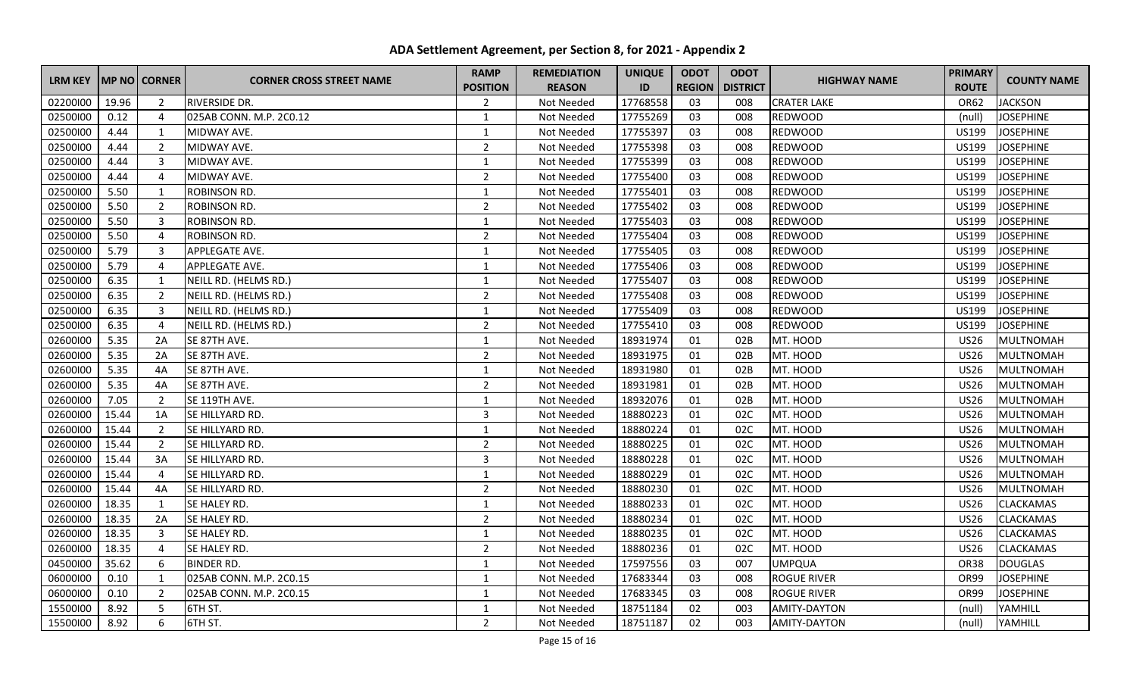| <b>LRM KEY</b> |       | <b>IMP NOI CORNER</b> | <b>CORNER CROSS STREET NAME</b> | <b>RAMP</b>              | <b>REMEDIATION</b> | <b>UNIQUE</b> | <b>ODOT</b>   | <b>ODOT</b>     | <b>HIGHWAY NAME</b> | <b>PRIMARY</b> |                    |
|----------------|-------|-----------------------|---------------------------------|--------------------------|--------------------|---------------|---------------|-----------------|---------------------|----------------|--------------------|
|                |       |                       |                                 | <b>POSITION</b>          | <b>REASON</b>      | ID            | <b>REGION</b> | <b>DISTRICT</b> |                     | <b>ROUTE</b>   | <b>COUNTY NAME</b> |
| 02200100       | 19.96 | 2                     | RIVERSIDE DR.                   | $\mathcal{P}$            | Not Needed         | 17768558      | 03            | 008             | <b>CRATER LAKE</b>  | OR62           | <b>JACKSON</b>     |
| 02500100       | 0.12  | $\overline{4}$        | 025AB CONN. M.P. 2C0.12         | $\overline{1}$           | Not Needed         | 17755269      | 03            | 008             | <b>REDWOOD</b>      | (null)         | <b>JOSEPHINE</b>   |
| 02500100       | 4.44  | $\mathbf{1}$          | MIDWAY AVE.                     | $\overline{\mathbf{1}}$  | Not Needed         | 17755397      | 03            | 008             | <b>REDWOOD</b>      | <b>US199</b>   | <b>JOSEPHINE</b>   |
| 02500100       | 4.44  | $\overline{2}$        | MIDWAY AVE.                     | $\overline{2}$           | Not Needed         | 17755398      | 03            | 008             | <b>REDWOOD</b>      | US199          | <b>JOSEPHINE</b>   |
| 02500100       | 4.44  | 3                     | MIDWAY AVE.                     | $\overline{1}$           | Not Needed         | 17755399      | 03            | 008             | <b>REDWOOD</b>      | <b>US199</b>   | <b>JOSEPHINE</b>   |
| 02500100       | 4.44  | $\overline{4}$        | MIDWAY AVE.                     | $\overline{2}$           | Not Needed         | 17755400      | 03            | 008             | <b>REDWOOD</b>      | <b>US199</b>   | <b>JOSEPHINE</b>   |
| 02500100       | 5.50  | $\mathbf{1}$          | <b>ROBINSON RD.</b>             | $\overline{\mathbf{1}}$  | Not Needed         | 17755401      | 03            | 008             | <b>REDWOOD</b>      | US199          | <b>JOSEPHINE</b>   |
| 02500100       | 5.50  | $\overline{2}$        | ROBINSON RD.                    | $\mathcal{P}$            | Not Needed         | 17755402      | 03            | 008             | <b>REDWOOD</b>      | US199          | <b>JOSEPHINE</b>   |
| 02500100       | 5.50  | $\overline{3}$        | ROBINSON RD.                    | $\overline{1}$           | Not Needed         | 17755403      | 03            | 008             | <b>REDWOOD</b>      | US199          | <b>JOSEPHINE</b>   |
| 02500100       | 5.50  | $\overline{4}$        | ROBINSON RD.                    | $\overline{2}$           | Not Needed         | 17755404      | 03            | 008             | <b>REDWOOD</b>      | US199          | <b>JOSEPHINE</b>   |
| 02500100       | 5.79  | 3                     | APPLEGATE AVE.                  | -1                       | Not Needed         | 17755405      | 03            | 008             | <b>REDWOOD</b>      | US199          | <b>JOSEPHINE</b>   |
| 02500100       | 5.79  | $\overline{4}$        | APPLEGATE AVE.                  | $\mathbf{1}$             | Not Needed         | 17755406      | 03            | 008             | <b>REDWOOD</b>      | US199          | <b>JOSEPHINE</b>   |
| 02500100       | 6.35  | $\mathbf{1}$          | NEILL RD. (HELMS RD.)           | $\mathbf{1}$             | Not Needed         | 17755407      | 03            | 008             | <b>REDWOOD</b>      | US199          | <b>JOSEPHINE</b>   |
| 02500100       | 6.35  | $\overline{2}$        | NEILL RD. (HELMS RD.)           | $\overline{2}$           | Not Needed         | 17755408      | 03            | 008             | <b>REDWOOD</b>      | <b>US199</b>   | <b>JOSEPHINE</b>   |
| 02500100       | 6.35  | 3                     | NEILL RD. (HELMS RD.)           | $\overline{1}$           | Not Needed         | 17755409      | 03            | 008             | <b>REDWOOD</b>      | <b>US199</b>   | <b>JOSEPHINE</b>   |
| 02500100       | 6.35  | $\overline{4}$        | NEILL RD. (HELMS RD.)           | $\overline{2}$           | Not Needed         | 17755410      | 03            | 008             | <b>REDWOOD</b>      | <b>US199</b>   | <b>JOSEPHINE</b>   |
| 02600100       | 5.35  | 2A                    | SE 87TH AVE.                    | $\mathbf{1}$             | Not Needed         | 18931974      | 01            | 02B             | MT. HOOD            | <b>US26</b>    | MULTNOMAH          |
| 02600100       | 5.35  | 2A                    | SE 87TH AVE.                    | $\overline{2}$           | Not Needed         | 18931975      | 01            | 02B             | MT. HOOD            | <b>US26</b>    | MULTNOMAH          |
| 02600100       | 5.35  | 4A                    | SE 87TH AVE.                    | $\mathbf{1}$             | Not Needed         | 18931980      | 01            | 02B             | MT. HOOD            | <b>US26</b>    | MULTNOMAH          |
| 02600100       | 5.35  | 4A                    | SE 87TH AVE.                    | $\overline{2}$           | Not Needed         | 18931981      | 01            | 02B             | MT. HOOD            | <b>US26</b>    | <b>MULTNOMAH</b>   |
| 02600100       | 7.05  | $\overline{2}$        | SE 119TH AVE.                   | $\mathbf{1}$             | Not Needed         | 18932076      | 01            | 02B             | MT. HOOD            | <b>US26</b>    | MULTNOMAH          |
| 02600100       | 15.44 | 1A                    | SE HILLYARD RD.                 | $\overline{3}$           | Not Needed         | 18880223      | 01            | 02C             | MT. HOOD            | <b>US26</b>    | MULTNOMAH          |
| 02600100       | 15.44 | $\overline{2}$        | SE HILLYARD RD.                 | $\mathbf{1}$             | Not Needed         | 18880224      | 01            | 02C             | MT. HOOD            | <b>US26</b>    | <b>MULTNOMAH</b>   |
| 02600100       | 15.44 | $\overline{2}$        | SE HILLYARD RD.                 | $\overline{2}$           | Not Needed         | 18880225      | 01            | 02C             | MT. HOOD            | <b>US26</b>    | MULTNOMAH          |
| 02600100       | 15.44 | 3A                    | SE HILLYARD RD.                 | 3                        | Not Needed         | 18880228      | 01            | 02C             | MT. HOOD            | <b>US26</b>    | MULTNOMAH          |
| 02600100       | 15.44 | $\overline{4}$        | SE HILLYARD RD.                 | $\mathbf{1}$             | Not Needed         | 18880229      | 01            | 02C             | MT. HOOD            | <b>US26</b>    | <b>MULTNOMAH</b>   |
| 02600100       | 15.44 | 4A                    | SE HILLYARD RD.                 | $\mathfrak{p}$           | Not Needed         | 18880230      | 01            | 02C             | MT. HOOD            | <b>US26</b>    | <b>MULTNOMAH</b>   |
| 02600100       | 18.35 | $\mathbf{1}$          | SE HALEY RD.                    | $\overline{\mathbf{1}}$  | Not Needed         | 18880233      | 01            | 02C             | MT. HOOD            | <b>US26</b>    | <b>CLACKAMAS</b>   |
| 02600100       | 18.35 | 2A                    | SE HALEY RD.                    | $\overline{2}$           | Not Needed         | 18880234      | 01            | 02C             | MT. HOOD            | <b>US26</b>    | <b>CLACKAMAS</b>   |
| 02600100       | 18.35 | 3                     | SE HALEY RD.                    | $\overline{1}$           | Not Needed         | 18880235      | 01            | 02C             | MT. HOOD            | <b>US26</b>    | <b>CLACKAMAS</b>   |
| 02600100       | 18.35 | $\overline{4}$        | SE HALEY RD.                    | $\overline{\phantom{a}}$ | Not Needed         | 18880236      | 01            | 02C             | MT. HOOD            | <b>US26</b>    | <b>CLACKAMAS</b>   |
| 04500100       | 35.62 | 6                     | <b>BINDER RD.</b>               | $\overline{1}$           | Not Needed         | 17597556      | 03            | 007             | <b>UMPQUA</b>       | <b>OR38</b>    | <b>DOUGLAS</b>     |
| 06000100       | 0.10  | $\mathbf{1}$          | 025AB CONN. M.P. 2C0.15         | $\overline{1}$           | Not Needed         | 17683344      | 03            | 008             | <b>ROGUE RIVER</b>  | OR99           | <b>JOSEPHINE</b>   |
| 06000100       | 0.10  | $\overline{2}$        | 025AB CONN. M.P. 2C0.15         | $\mathbf{1}$             | Not Needed         | 17683345      | 03            | 008             | <b>ROGUE RIVER</b>  | <b>OR99</b>    | <b>JOSEPHINE</b>   |
| 15500100       | 8.92  | 5                     | 6TH ST.                         | -1                       | Not Needed         | 18751184      | 02            | 003             | AMITY-DAYTON        | (null)         | YAMHILL            |
| 15500100       | 8.92  | 6                     | 6TH ST.                         | $\overline{2}$           | Not Needed         | 18751187      | 02            | 003             | <b>AMITY-DAYTON</b> | (null)         | YAMHILL            |